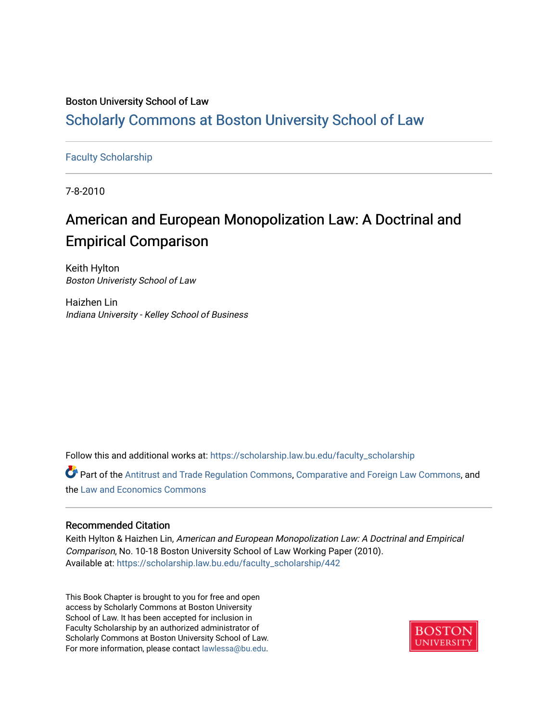#### Boston University School of Law

# [Scholarly Commons at Boston University School of Law](https://scholarship.law.bu.edu/)

#### [Faculty Scholarship](https://scholarship.law.bu.edu/faculty_scholarship)

7-8-2010

# American and European Monopolization Law: A Doctrinal and Empirical Comparison

Keith Hylton Boston Univeristy School of Law

Haizhen Lin Indiana University - Kelley School of Business

Follow this and additional works at: [https://scholarship.law.bu.edu/faculty\\_scholarship](https://scholarship.law.bu.edu/faculty_scholarship?utm_source=scholarship.law.bu.edu%2Ffaculty_scholarship%2F442&utm_medium=PDF&utm_campaign=PDFCoverPages)

Part of the [Antitrust and Trade Regulation Commons,](http://network.bepress.com/hgg/discipline/911?utm_source=scholarship.law.bu.edu%2Ffaculty_scholarship%2F442&utm_medium=PDF&utm_campaign=PDFCoverPages) [Comparative and Foreign Law Commons,](http://network.bepress.com/hgg/discipline/836?utm_source=scholarship.law.bu.edu%2Ffaculty_scholarship%2F442&utm_medium=PDF&utm_campaign=PDFCoverPages) and the [Law and Economics Commons](http://network.bepress.com/hgg/discipline/612?utm_source=scholarship.law.bu.edu%2Ffaculty_scholarship%2F442&utm_medium=PDF&utm_campaign=PDFCoverPages)

#### Recommended Citation

Keith Hylton & Haizhen Lin, American and European Monopolization Law: A Doctrinal and Empirical Comparison, No. 10-18 Boston University School of Law Working Paper (2010). Available at: [https://scholarship.law.bu.edu/faculty\\_scholarship/442](https://scholarship.law.bu.edu/faculty_scholarship/442?utm_source=scholarship.law.bu.edu%2Ffaculty_scholarship%2F442&utm_medium=PDF&utm_campaign=PDFCoverPages) 

This Book Chapter is brought to you for free and open access by Scholarly Commons at Boston University School of Law. It has been accepted for inclusion in Faculty Scholarship by an authorized administrator of Scholarly Commons at Boston University School of Law. For more information, please contact [lawlessa@bu.edu](mailto:lawlessa@bu.edu).

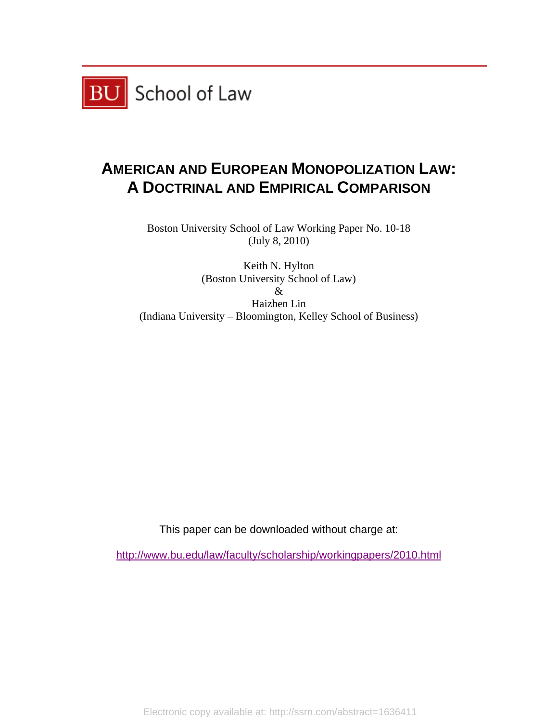

# **AMERICAN AND EUROPEAN MONOPOLIZATION LAW: A DOCTRINAL AND EMPIRICAL COMPARISON**

Boston University School of Law Working Paper No. 10-18 (July 8, 2010)

Keith N. Hylton (Boston University School of Law) & Haizhen Lin (Indiana University – Bloomington, Kelley School of Business)

This paper can be downloaded without charge at:

http://www.bu.edu/law/faculty/scholarship/workingpapers/2010.html

Electronic copy available at: http://ssrn.com/abstract=1636411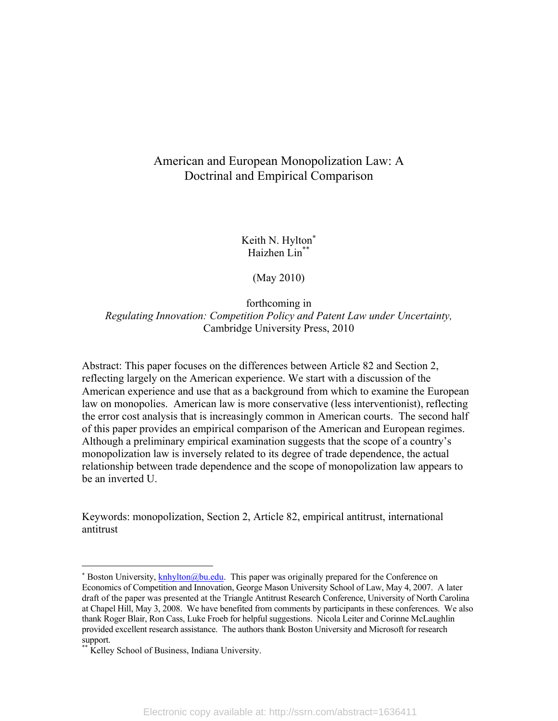American and European Monopolization Law: A Doctrinal and Empirical Comparison

> Keith N. Hylton Haizhen Lin\*\*

> > (May 2010)

forthcoming in *Regulating Innovation: Competition Policy and Patent Law under Uncertainty,*  Cambridge University Press, 2010

Abstract: This paper focuses on the differences between Article 82 and Section 2, reflecting largely on the American experience. We start with a discussion of the American experience and use that as a background from which to examine the European law on monopolies. American law is more conservative (less interventionist), reflecting the error cost analysis that is increasingly common in American courts. The second half of this paper provides an empirical comparison of the American and European regimes. Although a preliminary empirical examination suggests that the scope of a country's monopolization law is inversely related to its degree of trade dependence, the actual relationship between trade dependence and the scope of monopolization law appears to be an inverted U.

Keywords: monopolization, Section 2, Article 82, empirical antitrust, international antitrust

 $\overline{a}$ 

<sup>\*</sup> Boston University, knhylton@bu.edu. This paper was originally prepared for the Conference on Economics of Competition and Innovation, George Mason University School of Law, May 4, 2007. A later draft of the paper was presented at the Triangle Antitrust Research Conference, University of North Carolina at Chapel Hill, May 3, 2008. We have benefited from comments by participants in these conferences. We also thank Roger Blair, Ron Cass, Luke Froeb for helpful suggestions. Nicola Leiter and Corinne McLaughlin provided excellent research assistance. The authors thank Boston University and Microsoft for research support.

Kelley School of Business, Indiana University.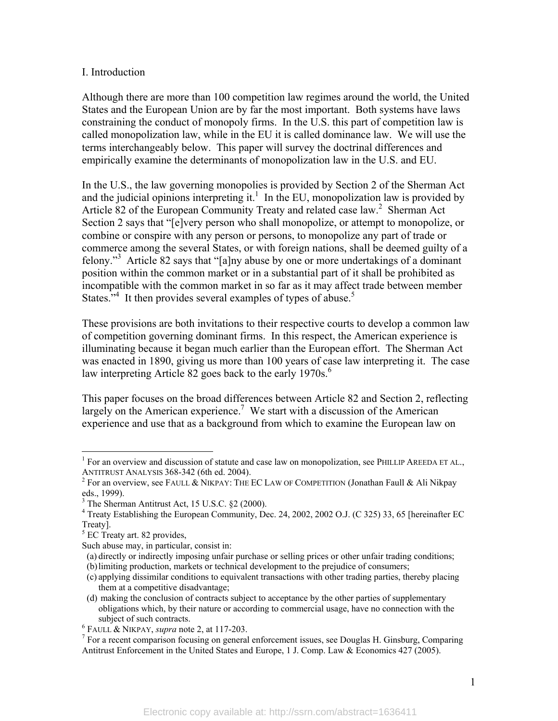#### I. Introduction

Although there are more than 100 competition law regimes around the world, the United States and the European Union are by far the most important. Both systems have laws constraining the conduct of monopoly firms. In the U.S. this part of competition law is called monopolization law, while in the EU it is called dominance law. We will use the terms interchangeably below. This paper will survey the doctrinal differences and empirically examine the determinants of monopolization law in the U.S. and EU.

In the U.S., the law governing monopolies is provided by Section 2 of the Sherman Act and the judicial opinions interpreting it.<sup>1</sup> In the EU, monopolization law is provided by Article 82 of the European Community Treaty and related case law.<sup>2</sup> Sherman Act Section 2 says that "[e]very person who shall monopolize, or attempt to monopolize, or combine or conspire with any person or persons, to monopolize any part of trade or commerce among the several States, or with foreign nations, shall be deemed guilty of a felony."<sup>3</sup> Article 82 says that "[a]ny abuse by one or more undertakings of a dominant position within the common market or in a substantial part of it shall be prohibited as incompatible with the common market in so far as it may affect trade between member States.<sup>34</sup> It then provides several examples of types of abuse.<sup>5</sup>

These provisions are both invitations to their respective courts to develop a common law of competition governing dominant firms. In this respect, the American experience is illuminating because it began much earlier than the European effort. The Sherman Act was enacted in 1890, giving us more than 100 years of case law interpreting it. The case law interpreting Article 82 goes back to the early  $1970s$ .<sup>6</sup>

This paper focuses on the broad differences between Article 82 and Section 2, reflecting largely on the American experience.<sup>7</sup> We start with a discussion of the American experience and use that as a background from which to examine the European law on

<sup>&</sup>lt;sup>1</sup> For an overview and discussion of statute and case law on monopolization, see PHILLIP AREEDA ET AL., ANTITRUST ANALYSIS 368-342 (6th ed. 2004). 2

<sup>&</sup>lt;sup>2</sup> For an overview, see FAULL  $\&$  NIKPAY: THE EC LAW OF COMPETITION (Jonathan Faull  $&$  Ali Nikpay eds., 1999).

 $3$  The Sherman Antitrust Act, 15 U.S.C.  $\S 2$  (2000).

<sup>&</sup>lt;sup>4</sup> Treaty Establishing the European Community, Dec. 24, 2002, 2002 O.J. (C 325) 33, 65 [hereinafter EC Treaty].

<sup>&</sup>lt;sup>5</sup> EC Treaty art. 82 provides,

Such abuse may, in particular, consist in:

<sup>(</sup>a) directly or indirectly imposing unfair purchase or selling prices or other unfair trading conditions;

<sup>(</sup>b)limiting production, markets or technical development to the prejudice of consumers;

<sup>(</sup>c) applying dissimilar conditions to equivalent transactions with other trading parties, thereby placing them at a competitive disadvantage;

<sup>(</sup>d) making the conclusion of contracts subject to acceptance by the other parties of supplementary obligations which, by their nature or according to commercial usage, have no connection with the subject of such contracts.

 $6$  FAULL & NIKPAY, *supra* note 2, at 117-203.

<sup>&</sup>lt;sup>7</sup> For a recent comparison focusing on general enforcement issues, see Douglas H. Ginsburg, Comparing Antitrust Enforcement in the United States and Europe, 1 J. Comp. Law & Economics 427 (2005).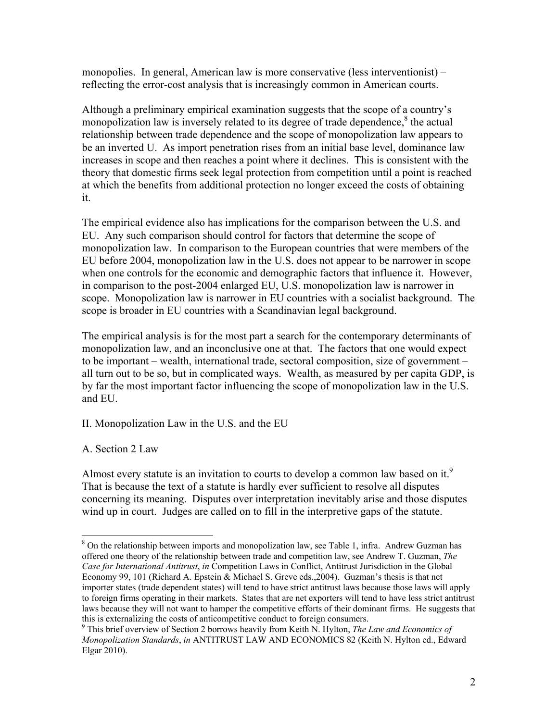monopolies. In general, American law is more conservative (less interventionist) – reflecting the error-cost analysis that is increasingly common in American courts.

Although a preliminary empirical examination suggests that the scope of a country's monopolization law is inversely related to its degree of trade dependence, $\delta$  the actual relationship between trade dependence and the scope of monopolization law appears to be an inverted U. As import penetration rises from an initial base level, dominance law increases in scope and then reaches a point where it declines. This is consistent with the theory that domestic firms seek legal protection from competition until a point is reached at which the benefits from additional protection no longer exceed the costs of obtaining it.

The empirical evidence also has implications for the comparison between the U.S. and EU. Any such comparison should control for factors that determine the scope of monopolization law. In comparison to the European countries that were members of the EU before 2004, monopolization law in the U.S. does not appear to be narrower in scope when one controls for the economic and demographic factors that influence it. However, in comparison to the post-2004 enlarged EU, U.S. monopolization law is narrower in scope. Monopolization law is narrower in EU countries with a socialist background. The scope is broader in EU countries with a Scandinavian legal background.

The empirical analysis is for the most part a search for the contemporary determinants of monopolization law, and an inconclusive one at that. The factors that one would expect to be important – wealth, international trade, sectoral composition, size of government – all turn out to be so, but in complicated ways. Wealth, as measured by per capita GDP, is by far the most important factor influencing the scope of monopolization law in the U.S. and EU.

II. Monopolization Law in the U.S. and the EU

A. Section 2 Law

1

Almost every statute is an invitation to courts to develop a common law based on it.<sup>9</sup> That is because the text of a statute is hardly ever sufficient to resolve all disputes concerning its meaning. Disputes over interpretation inevitably arise and those disputes wind up in court. Judges are called on to fill in the interpretive gaps of the statute.

<sup>&</sup>lt;sup>8</sup> On the relationship between imports and monopolization law, see Table 1, infra. Andrew Guzman has offered one theory of the relationship between trade and competition law, see Andrew T. Guzman, *The Case for International Antitrust*, *in* Competition Laws in Conflict, Antitrust Jurisdiction in the Global Economy 99, 101 (Richard A. Epstein & Michael S. Greve eds.,2004). Guzman's thesis is that net importer states (trade dependent states) will tend to have strict antitrust laws because those laws will apply to foreign firms operating in their markets. States that are net exporters will tend to have less strict antitrust laws because they will not want to hamper the competitive efforts of their dominant firms. He suggests that this is externalizing the costs of anticompetitive conduct to foreign consumers.

<sup>9</sup> This brief overview of Section 2 borrows heavily from Keith N. Hylton, *The Law and Economics of Monopolization Standards*, *in* ANTITRUST LAW AND ECONOMICS 82 (Keith N. Hylton ed., Edward Elgar 2010).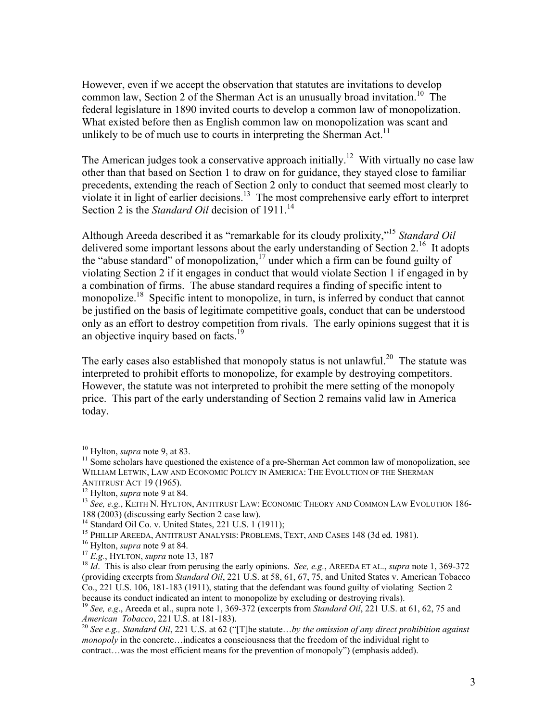However, even if we accept the observation that statutes are invitations to develop common law, Section 2 of the Sherman Act is an unusually broad invitation.<sup>10</sup> The federal legislature in 1890 invited courts to develop a common law of monopolization. What existed before then as English common law on monopolization was scant and unlikely to be of much use to courts in interpreting the Sherman Act.<sup>11</sup>

The American judges took a conservative approach initially.<sup>12</sup> With virtually no case law other than that based on Section 1 to draw on for guidance, they stayed close to familiar precedents, extending the reach of Section 2 only to conduct that seemed most clearly to violate it in light of earlier decisions.<sup>13</sup> The most comprehensive early effort to interpret Section 2 is the *Standard Oil* decision of 1911.<sup>14</sup>

Although Areeda described it as "remarkable for its cloudy prolixity,"15 *Standard Oil* delivered some important lessons about the early understanding of Section 2.<sup>16</sup> It adopts the "abuse standard" of monopolization, $17$  under which a firm can be found guilty of violating Section 2 if it engages in conduct that would violate Section 1 if engaged in by a combination of firms. The abuse standard requires a finding of specific intent to monopolize.<sup>18</sup> Specific intent to monopolize, in turn, is inferred by conduct that cannot be justified on the basis of legitimate competitive goals, conduct that can be understood only as an effort to destroy competition from rivals. The early opinions suggest that it is an objective inquiry based on facts.<sup>19</sup>

The early cases also established that monopoly status is not unlawful.<sup>20</sup> The statute was interpreted to prohibit efforts to monopolize, for example by destroying competitors. However, the statute was not interpreted to prohibit the mere setting of the monopoly price. This part of the early understanding of Section 2 remains valid law in America today.

 $\overline{a}$ 

<sup>&</sup>lt;sup>10</sup> Hylton, *supra* note 9, at 83.<br><sup>11</sup> Some scholars have questioned the existence of a pre-Sherman Act common law of monopolization, see WILLIAM LETWIN, LAW AND ECONOMIC POLICY IN AMERICA: THE EVOLUTION OF THE SHERMAN

ANTITRUST ACT 19 (1965).<br><sup>12</sup> Hylton, *supra* note 9 at 84.<br><sup>13</sup> *See, e.g.*, KEITH N. HYLTON, ANTITRUST LAW: ECONOMIC THEORY AND COMMON LAW EVOLUTION 186-<br>188 (2003) (discussing early Section 2 case law).

<sup>14&</sup>lt;br><sup>14</sup> Standard Oil Co. v. United States, 221 U.S. 1 (1911);<br><sup>15</sup> PHILLIP AREEDA, ANTITRUST ANALYSIS: PROBLEMS, TEXT, AND CASES 148 (3d ed. 1981).

<sup>&</sup>lt;sup>16</sup> Hylton, *supra* note 9 at 84.<br><sup>17</sup> E.g., HYLTON, *supra* note 13, 187<br><sup>18</sup> Id. This is also clear from perusing the early opinions. *See, e.g.*, AREEDA ET AL., *supra* note 1, 369-372 (providing excerpts from *Standard Oil*, 221 U.S. at 58, 61, 67, 75, and United States v. American Tobacco Co., 221 U.S. 106, 181-183 (1911), stating that the defendant was found guilty of violating Section 2 because its conduct indicated an intent to monopolize by excluding or destroying rivals).

<sup>&</sup>lt;sup>19</sup> *See, e.g.*, Areeda et al., supra note 1, 369-372 (excerpts from *Standard Oil*, 221 U.S. at 61, 62, 75 and *American Tobacco*, 221 U.S. at 181-183).<br><sup>20</sup> See e.g., Standard Oil, 221 U.S. at 62 ("[T]he statute...by the omission of any direct prohibition against

*monopoly* in the concrete…indicates a consciousness that the freedom of the individual right to contract…was the most efficient means for the prevention of monopoly") (emphasis added).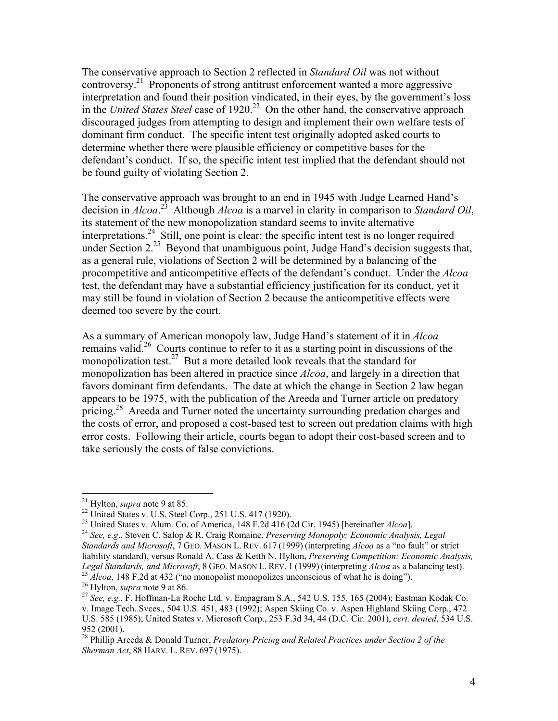The conservative approach to Section 2 reflected in *Standard Oil* was not without controversy.21 Proponents of strong antitrust enforcement wanted a more aggressive interpretation and found their position vindicated, in their eyes, by the government's loss in the *United States Steel* case of 1920.<sup>22</sup> On the other hand, the conservative approach discouraged judges from attempting to design and implement their own welfare tests of dominant firm conduct. The specific intent test originally adopted asked courts to determine whether there were plausible efficiency or competitive bases for the defendant's conduct. If so, the specific intent test implied that the defendant should not be found guilty of violating Section 2.

The conservative approach was brought to an end in 1945 with Judge Learned Hand's decision in *Alcoa*. 23 Although *Alcoa* is a marvel in clarity in comparison to *Standard Oil*, its statement of the new monopolization standard seems to invite alternative interpretations.24 Still, one point is clear: the specific intent test is no longer required under Section 2.<sup>25</sup> Beyond that unambiguous point, Judge Hand's decision suggests that, as a general rule, violations of Section 2 will be determined by a balancing of the procompetitive and anticompetitive effects of the defendant's conduct. Under the *Alcoa* test, the defendant may have a substantial efficiency justification for its conduct, yet it may still be found in violation of Section 2 because the anticompetitive effects were deemed too severe by the court.

As a summary of American monopoly law, Judge Hand's statement of it in *Alcoa* remains valid.26 Courts continue to refer to it as a starting point in discussions of the monopolization test.<sup>27</sup> But a more detailed look reveals that the standard for monopolization has been altered in practice since *Alcoa*, and largely in a direction that favors dominant firm defendants. The date at which the change in Section 2 law began appears to be 1975, with the publication of the Areeda and Turner article on predatory pricing.<sup>28</sup> Areeda and Turner noted the uncertainty surrounding predation charges and the costs of error, and proposed a cost-based test to screen out predation claims with high error costs. Following their article, courts began to adopt their cost-based screen and to take seriously the costs of false convictions.

<sup>&</sup>lt;sup>21</sup> Hylton, *supra* note 9 at 85.

<sup>&</sup>lt;sup>22</sup> United States v. U.S. Steel Corp., 251 U.S. 417 (1920).<br><sup>23</sup> United States v. Alum. Co. of America, 148 F.2d 416 (2d Cir. 1945) [hereinafter *Alcoa*].

<sup>&</sup>lt;sup>24</sup> See, e.g., Steven C. Salop & R. Craig Romaine, *Preserving Monopoly: Economic Analysis, Legal Standards and Microsoft*, 7 GEO. MASON L. REV. 617 (1999) (interpreting *Alcoa* as a "no fault" or strict liability standard), versus Ronald A. Cass & Keith N. Hylton, *Preserving Competition: Economic Analysis,* Legal Standards, and Microsoft, 8 GEO. MASON L. REV. 1 (1999) (interpreting *Alcoa* as a balancing test). <sup>25</sup> *Alcoa*, 148 F.2d at 432 ("no monopolist monopolizes unconscious of what he is doing").<br><sup>26</sup> Hylton, *supra* note 9 at 86.<br><sup>27</sup> *See, e.g.*, F. Hoffman-La Roche Ltd. v. Empagram S.A., 542 U.S. 155, 165 (2004); Eastma

v. Image Tech. Svces., 504 U.S. 451, 483 (1992); Aspen Skiing Co. v. Aspen Highland Skiing Corp., 472 U.S. 585 (1985); United States v. Microsoft Corp., 253 F.3d 34, 44 (D.C. Cir. 2001), *cert. denied*, 534 U.S. 952 (2001).

<sup>28</sup> Phillip Areeda & Donald Turner, *Predatory Pricing and Related Practices under Section 2 of the Sherman Act*, 88 HARV. L. REV. 697 (1975).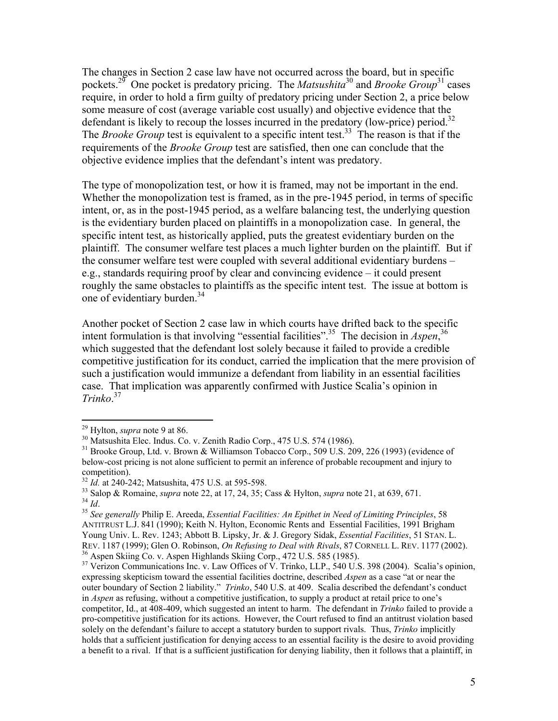The changes in Section 2 case law have not occurred across the board, but in specific pockets.29 One pocket is predatory pricing. The *Matsushita*<sup>30</sup> and *Brooke Group*31 cases require, in order to hold a firm guilty of predatory pricing under Section 2, a price below some measure of cost (average variable cost usually) and objective evidence that the defendant is likely to recoup the losses incurred in the predatory (low-price) period.<sup>32</sup> The *Brooke Group* test is equivalent to a specific intent test.<sup>33</sup> The reason is that if the requirements of the *Brooke Group* test are satisfied, then one can conclude that the objective evidence implies that the defendant's intent was predatory.

The type of monopolization test, or how it is framed, may not be important in the end. Whether the monopolization test is framed, as in the pre-1945 period, in terms of specific intent, or, as in the post-1945 period, as a welfare balancing test, the underlying question is the evidentiary burden placed on plaintiffs in a monopolization case. In general, the specific intent test, as historically applied, puts the greatest evidentiary burden on the plaintiff. The consumer welfare test places a much lighter burden on the plaintiff. But if the consumer welfare test were coupled with several additional evidentiary burdens – e.g., standards requiring proof by clear and convincing evidence – it could present roughly the same obstacles to plaintiffs as the specific intent test. The issue at bottom is one of evidentiary burden.<sup>34</sup>

Another pocket of Section 2 case law in which courts have drifted back to the specific intent formulation is that involving "essential facilities".<sup>35</sup> The decision in *Aspen*,<sup>36</sup> which suggested that the defendant lost solely because it failed to provide a credible competitive justification for its conduct, carried the implication that the mere provision of such a justification would immunize a defendant from liability in an essential facilities case. That implication was apparently confirmed with Justice Scalia's opinion in *Trinko*. 37

 $29$  Hylton, *supra* note 9 at 86.

<sup>&</sup>lt;sup>30</sup> Matsushita Elec. Indus. Co. v. Zenith Radio Corp., 475 U.S. 574 (1986).

<sup>&</sup>lt;sup>31</sup> Brooke Group, Ltd. v. Brown & Williamson Tobacco Corp., 509 U.S. 209, 226 (1993) (evidence of below-cost pricing is not alone sufficient to permit an inference of probable recoupment and injury to competition).<br><sup>32</sup> *Id.* at 240-242; Matsushita, 475 U.S. at 595-598.

<sup>&</sup>lt;sup>33</sup> Salop & Romaine, *supra* note 22, at 17, 24, 35; Cass & Hylton, *supra* note 21, at 639, 671.<br><sup>34</sup> Id.<br><sup>35</sup> See generally Philip E. Areeda, *Essential Facilities: An Epithet in Need of Limiting Principles*, 58

ANTITRUST L.J. 841 (1990); Keith N. Hylton, Economic Rents and Essential Facilities, 1991 Brigham Young Univ. L. Rev. 1243; Abbott B. Lipsky, Jr. & J. Gregory Sidak, *Essential Facilities*, 51 STAN. L. REV. 1187 (1999); Glen O. Robinson, *On Refusing to Deal with Rivals*, 87 CORNELL L. REV. 1177 (2002). <sup>36</sup> Aspen Skiing Co. v. Aspen Highlands Skiing Corp., 472 U.S. 585 (1985).

<sup>&</sup>lt;sup>37</sup> Verizon Communications Inc. v. Law Offices of V. Trinko, LLP., 540 U.S. 398 (2004). Scalia's opinion, expressing skepticism toward the essential facilities doctrine, described *Aspen* as a case "at or near the outer boundary of Section 2 liability." *Trinko*, 540 U.S. at 409. Scalia described the defendant's conduct in *Aspen* as refusing, without a competitive justification, to supply a product at retail price to one's competitor, Id., at 408-409, which suggested an intent to harm. The defendant in *Trinko* failed to provide a pro-competitive justification for its actions. However, the Court refused to find an antitrust violation based solely on the defendant's failure to accept a statutory burden to support rivals. Thus, *Trinko* implicitly holds that a sufficient justification for denying access to an essential facility is the desire to avoid providing a benefit to a rival. If that is a sufficient justification for denying liability, then it follows that a plaintiff, in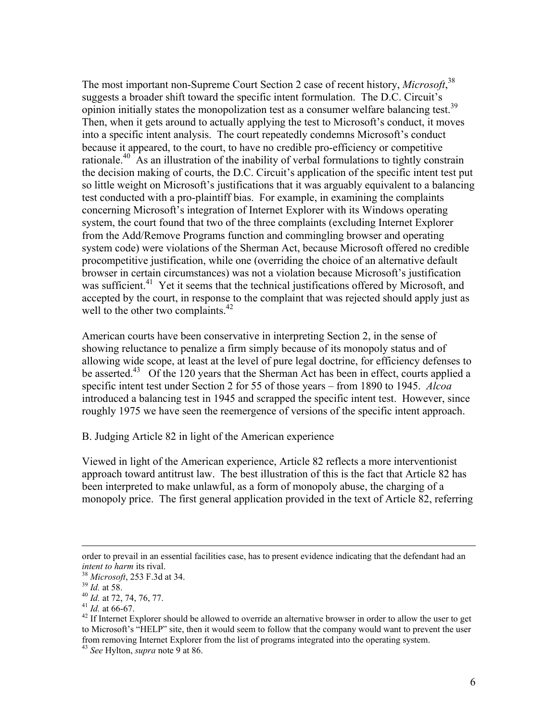The most important non-Supreme Court Section 2 case of recent history, *Microsoft*, 38 suggests a broader shift toward the specific intent formulation. The D.C. Circuit's opinion initially states the monopolization test as a consumer welfare balancing test.<sup>39</sup> Then, when it gets around to actually applying the test to Microsoft's conduct, it moves into a specific intent analysis. The court repeatedly condemns Microsoft's conduct because it appeared, to the court, to have no credible pro-efficiency or competitive rationale.<sup>40</sup> As an illustration of the inability of verbal formulations to tightly constrain the decision making of courts, the D.C. Circuit's application of the specific intent test put so little weight on Microsoft's justifications that it was arguably equivalent to a balancing test conducted with a pro-plaintiff bias. For example, in examining the complaints concerning Microsoft's integration of Internet Explorer with its Windows operating system, the court found that two of the three complaints (excluding Internet Explorer from the Add/Remove Programs function and commingling browser and operating system code) were violations of the Sherman Act, because Microsoft offered no credible procompetitive justification, while one (overriding the choice of an alternative default browser in certain circumstances) was not a violation because Microsoft's justification was sufficient.<sup>41</sup> Yet it seems that the technical justifications offered by Microsoft, and accepted by the court, in response to the complaint that was rejected should apply just as well to the other two complaints. $42$ 

American courts have been conservative in interpreting Section 2, in the sense of showing reluctance to penalize a firm simply because of its monopoly status and of allowing wide scope, at least at the level of pure legal doctrine, for efficiency defenses to be asserted.<sup>43</sup> Of the 120 years that the Sherman Act has been in effect, courts applied a specific intent test under Section 2 for 55 of those years – from 1890 to 1945. *Alcoa* introduced a balancing test in 1945 and scrapped the specific intent test. However, since roughly 1975 we have seen the reemergence of versions of the specific intent approach.

B. Judging Article 82 in light of the American experience

Viewed in light of the American experience, Article 82 reflects a more interventionist approach toward antitrust law. The best illustration of this is the fact that Article 82 has been interpreted to make unlawful, as a form of monopoly abuse, the charging of a monopoly price. The first general application provided in the text of Article 82, referring

order to prevail in an essential facilities case, has to present evidence indicating that the defendant had an intent to harm its rival.<br><sup>38</sup> Microsoft, 253 F.3d at 34.<br><sup>39</sup> Id. at 58.<br><sup>40</sup> Id. at 72, 74, 76, 77.<br><sup>41</sup> Id. at 66-67.<br><sup>42</sup> If Internet Explorer should be allowed to override an alternative browser in order to allow the

to Microsoft's "HELP" site, then it would seem to follow that the company would want to prevent the user from removing Internet Explorer from the list of programs integrated into the operating system.

<sup>43</sup> *See* Hylton, *supra* note 9 at 86.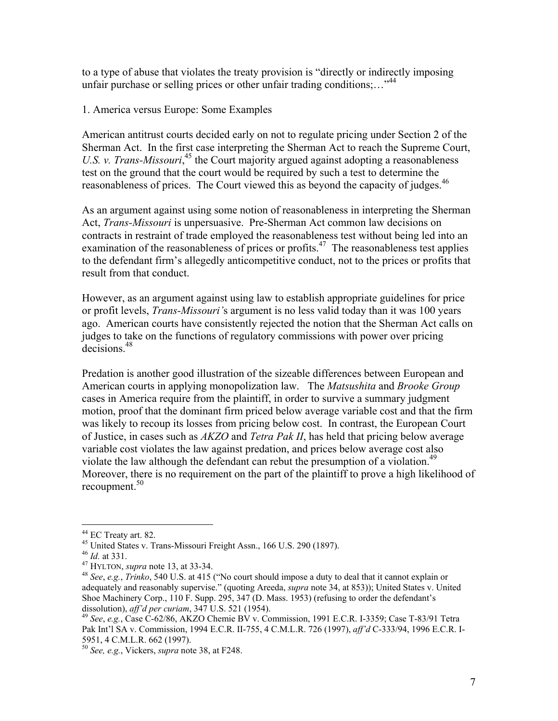to a type of abuse that violates the treaty provision is "directly or indirectly imposing unfair purchase or selling prices or other unfair trading conditions;..."<sup>44</sup>

1. America versus Europe: Some Examples

American antitrust courts decided early on not to regulate pricing under Section 2 of the Sherman Act. In the first case interpreting the Sherman Act to reach the Supreme Court, U.S. v. Trans-Missouri,<sup>45</sup> the Court majority argued against adopting a reasonableness test on the ground that the court would be required by such a test to determine the reasonableness of prices. The Court viewed this as beyond the capacity of judges.<sup>46</sup>

As an argument against using some notion of reasonableness in interpreting the Sherman Act, *Trans-Missouri* is unpersuasive. Pre-Sherman Act common law decisions on contracts in restraint of trade employed the reasonableness test without being led into an examination of the reasonableness of prices or profits.<sup>47</sup> The reasonableness test applies to the defendant firm's allegedly anticompetitive conduct, not to the prices or profits that result from that conduct.

However, as an argument against using law to establish appropriate guidelines for price or profit levels, *Trans-Missouri'*s argument is no less valid today than it was 100 years ago. American courts have consistently rejected the notion that the Sherman Act calls on judges to take on the functions of regulatory commissions with power over pricing decisions.48

Predation is another good illustration of the sizeable differences between European and American courts in applying monopolization law. The *Matsushita* and *Brooke Group* cases in America require from the plaintiff, in order to survive a summary judgment motion, proof that the dominant firm priced below average variable cost and that the firm was likely to recoup its losses from pricing below cost. In contrast, the European Court of Justice, in cases such as *AKZO* and *Tetra Pak II*, has held that pricing below average variable cost violates the law against predation, and prices below average cost also violate the law although the defendant can rebut the presumption of a violation.<sup>49</sup> Moreover, there is no requirement on the part of the plaintiff to prove a high likelihood of recoupment.<sup>50</sup>

 $\overline{a}$ 

<sup>&</sup>lt;sup>44</sup> EC Treaty art. 82.

<sup>&</sup>lt;sup>45</sup> United States v. Trans-Missouri Freight Assn., 166 U.S. 290 (1897).<br><sup>46</sup> *Id.* at 331.

<sup>&</sup>lt;sup>47</sup> HYLTON, *supra* note 13, at 33-34.<br><sup>48</sup> *See*, *e.g.*, *Trinko*, 540 U.S. at 415 ("No court should impose a duty to deal that it cannot explain or adequately and reasonably supervise." (quoting Areeda, *supra* note 34, at 853)); United States v. United Shoe Machinery Corp., 110 F. Supp. 295, 347 (D. Mass. 1953) (refusing to order the defendant's dissolution), *aff'd per curiam*, 347 U.S. 521 (1954).<br><sup>49</sup> *See*, *e.g.*, Case C-62/86, AKZO Chemie BV v. Commission, 1991 E.C.R. I-3359; Case T-83/91 Tetra

Pak Int'l SA v. Commission, 1994 E.C.R. II-755, 4 C.M.L.R. 726 (1997), *aff'd* C-333/94, 1996 E.C.R. I-5951, 4 C.M.L.R. 662 (1997).

<sup>50</sup> *See, e.g.*, Vickers, *supra* note 38, at F248.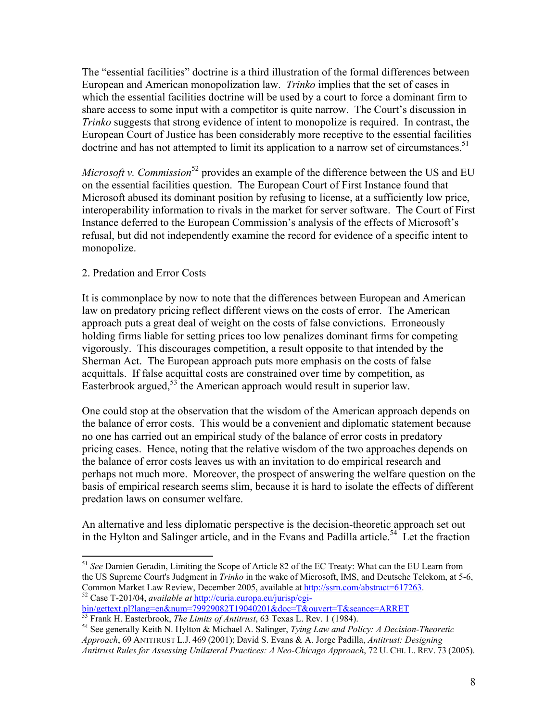The "essential facilities" doctrine is a third illustration of the formal differences between European and American monopolization law. *Trinko* implies that the set of cases in which the essential facilities doctrine will be used by a court to force a dominant firm to share access to some input with a competitor is quite narrow. The Court's discussion in *Trinko* suggests that strong evidence of intent to monopolize is required. In contrast, the European Court of Justice has been considerably more receptive to the essential facilities doctrine and has not attempted to limit its application to a narrow set of circumstances.<sup>51</sup>

*Microsoft v. Commission*<sup>52</sup> provides an example of the difference between the US and EU on the essential facilities question. The European Court of First Instance found that Microsoft abused its dominant position by refusing to license, at a sufficiently low price, interoperability information to rivals in the market for server software. The Court of First Instance deferred to the European Commission's analysis of the effects of Microsoft's refusal, but did not independently examine the record for evidence of a specific intent to monopolize.

#### 2. Predation and Error Costs

 $\overline{a}$ 

It is commonplace by now to note that the differences between European and American law on predatory pricing reflect different views on the costs of error. The American approach puts a great deal of weight on the costs of false convictions. Erroneously holding firms liable for setting prices too low penalizes dominant firms for competing vigorously. This discourages competition, a result opposite to that intended by the Sherman Act. The European approach puts more emphasis on the costs of false acquittals. If false acquittal costs are constrained over time by competition, as Easterbrook argued,<sup>53</sup> the American approach would result in superior law.

One could stop at the observation that the wisdom of the American approach depends on the balance of error costs. This would be a convenient and diplomatic statement because no one has carried out an empirical study of the balance of error costs in predatory pricing cases. Hence, noting that the relative wisdom of the two approaches depends on the balance of error costs leaves us with an invitation to do empirical research and perhaps not much more. Moreover, the prospect of answering the welfare question on the basis of empirical research seems slim, because it is hard to isolate the effects of different predation laws on consumer welfare.

An alternative and less diplomatic perspective is the decision-theoretic approach set out in the Hylton and Salinger article, and in the Evans and Padilla article.<sup>54</sup> Let the fraction

<sup>51</sup> *See* Damien Geradin, Limiting the Scope of Article 82 of the EC Treaty: What can the EU Learn from the US Supreme Court's Judgment in *Trinko* in the wake of Microsoft, IMS, and Deutsche Telekom, at 5-6, Common Market Law Review, December 2005, available at http://ssrn.com/abstract=617263. 52 Case T-201/04, *available at* http://curia.europa.eu/jurisp/cgi-

 $\frac{\text{bin/gettext.p1?lang=en\#=79929082T19040201\&doc=T\&ouvert=T\&search=ARRET}{53}$ <br>
Frank H. Easterbrook, *The Limits of Antitrust*, 63 Texas L. Rev. 1 (1984).<br>
<sup>54</sup> See generally Keith N. Hylton & Michael A. Salinger, *Tying Law and Policy: A D Approach*, 69 ANTITRUST L.J. 469 (2001); David S. Evans & A. Jorge Padilla, *Antitrust: Designing Antitrust Rules for Assessing Unilateral Practices: A Neo-Chicago Approach*, 72 U. CHI. L. REV. 73 (2005).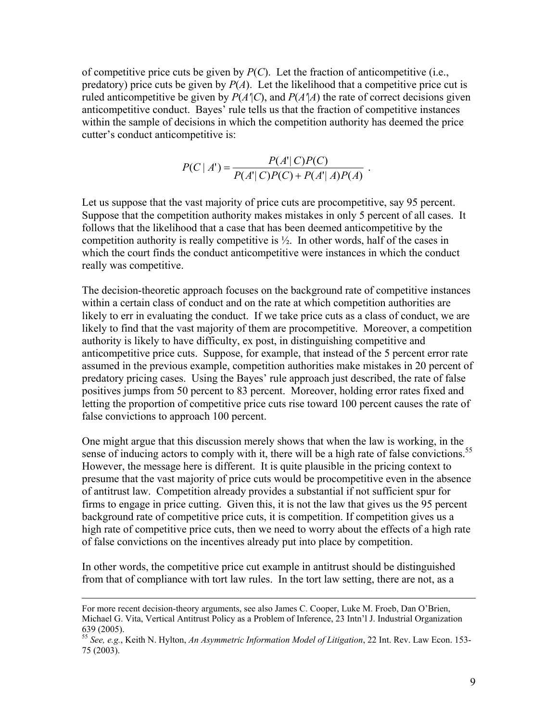of competitive price cuts be given by *P*(*C*). Let the fraction of anticompetitive (i.e., predatory) price cuts be given by *P*(*A*). Let the likelihood that a competitive price cut is ruled anticompetitive be given by  $P(A'|C)$ , and  $P(A'|A)$  the rate of correct decisions given anticompetitive conduct. Bayes' rule tells us that the fraction of competitive instances within the sample of decisions in which the competition authority has deemed the price cutter's conduct anticompetitive is:

$$
P(C | A') = \frac{P(A' | C)P(C)}{P(A' | C)P(C) + P(A' | A)P(A)}.
$$

Let us suppose that the vast majority of price cuts are procompetitive, say 95 percent. Suppose that the competition authority makes mistakes in only 5 percent of all cases. It follows that the likelihood that a case that has been deemed anticompetitive by the competition authority is really competitive is ½. In other words, half of the cases in which the court finds the conduct anticompetitive were instances in which the conduct really was competitive.

The decision-theoretic approach focuses on the background rate of competitive instances within a certain class of conduct and on the rate at which competition authorities are likely to err in evaluating the conduct. If we take price cuts as a class of conduct, we are likely to find that the vast majority of them are procompetitive. Moreover, a competition authority is likely to have difficulty, ex post, in distinguishing competitive and anticompetitive price cuts. Suppose, for example, that instead of the 5 percent error rate assumed in the previous example, competition authorities make mistakes in 20 percent of predatory pricing cases. Using the Bayes' rule approach just described, the rate of false positives jumps from 50 percent to 83 percent. Moreover, holding error rates fixed and letting the proportion of competitive price cuts rise toward 100 percent causes the rate of false convictions to approach 100 percent.

One might argue that this discussion merely shows that when the law is working, in the sense of inducing actors to comply with it, there will be a high rate of false convictions.<sup>55</sup> However, the message here is different. It is quite plausible in the pricing context to presume that the vast majority of price cuts would be procompetitive even in the absence of antitrust law. Competition already provides a substantial if not sufficient spur for firms to engage in price cutting. Given this, it is not the law that gives us the 95 percent background rate of competitive price cuts, it is competition. If competition gives us a high rate of competitive price cuts, then we need to worry about the effects of a high rate of false convictions on the incentives already put into place by competition.

In other words, the competitive price cut example in antitrust should be distinguished from that of compliance with tort law rules. In the tort law setting, there are not, as a

For more recent decision-theory arguments, see also James C. Cooper, Luke M. Froeb, Dan O'Brien, Michael G. Vita, Vertical Antitrust Policy as a Problem of Inference, 23 Intn'l J. Industrial Organization 639 (2005).

<sup>55</sup> *See, e.g.*, Keith N. Hylton, *An Asymmetric Information Model of Litigation*, 22 Int. Rev. Law Econ. 153- 75 (2003).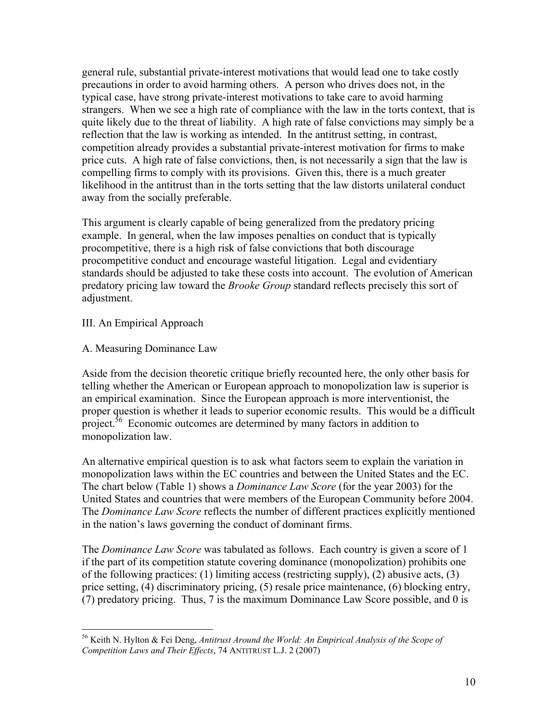general rule, substantial private-interest motivations that would lead one to take costly precautions in order to avoid harming others. A person who drives does not, in the typical case, have strong private-interest motivations to take care to avoid harming strangers. When we see a high rate of compliance with the law in the torts context, that is quite likely due to the threat of liability. A high rate of false convictions may simply be a reflection that the law is working as intended. In the antitrust setting, in contrast, competition already provides a substantial private-interest motivation for firms to make price cuts. A high rate of false convictions, then, is not necessarily a sign that the law is compelling firms to comply with its provisions. Given this, there is a much greater likelihood in the antitrust than in the torts setting that the law distorts unilateral conduct away from the socially preferable.

This argument is clearly capable of being generalized from the predatory pricing example. In general, when the law imposes penalties on conduct that is typically procompetitive, there is a high risk of false convictions that both discourage procompetitive conduct and encourage wasteful litigation. Legal and evidentiary standards should be adjusted to take these costs into account. The evolution of American predatory pricing law toward the *Brooke Group* standard reflects precisely this sort of adjustment.

#### III. An Empirical Approach

 $\overline{a}$ 

#### A. Measuring Dominance Law

Aside from the decision theoretic critique briefly recounted here, the only other basis for telling whether the American or European approach to monopolization law is superior is an empirical examination. Since the European approach is more interventionist, the proper question is whether it leads to superior economic results. This would be a difficult project.<sup>56</sup> Economic outcomes are determined by many factors in addition to monopolization law.

An alternative empirical question is to ask what factors seem to explain the variation in monopolization laws within the EC countries and between the United States and the EC. The chart below (Table 1) shows a *Dominance Law Score* (for the year 2003) for the United States and countries that were members of the European Community before 2004. The *Dominance Law Score* reflects the number of different practices explicitly mentioned in the nation's laws governing the conduct of dominant firms.

The *Dominance Law Score* was tabulated as follows. Each country is given a score of 1 if the part of its competition statute covering dominance (monopolization) prohibits one of the following practices: (1) limiting access (restricting supply), (2) abusive acts, (3) price setting, (4) discriminatory pricing, (5) resale price maintenance, (6) blocking entry, (7) predatory pricing. Thus, 7 is the maximum Dominance Law Score possible, and 0 is

<sup>56</sup> Keith N. Hylton & Fei Deng, *Antitrust Around the World: An Empirical Analysis of the Scope of Competition Laws and Their Effects*, 74 ANTITRUST L.J. 2 (2007)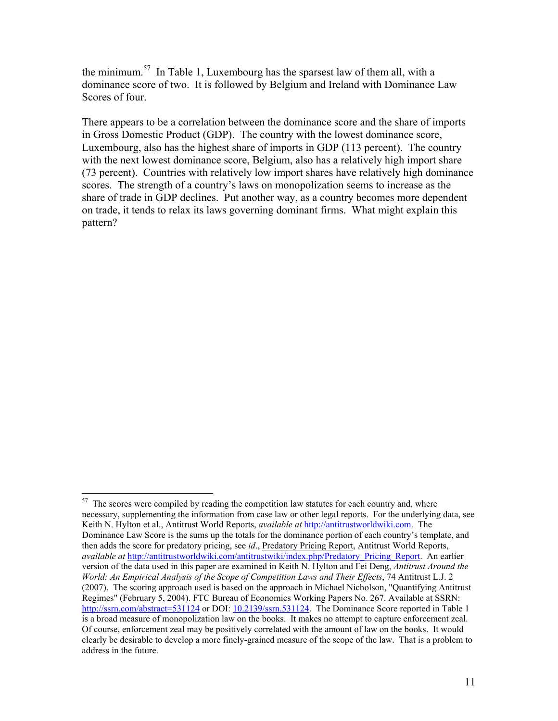the minimum.57 In Table 1, Luxembourg has the sparsest law of them all, with a dominance score of two. It is followed by Belgium and Ireland with Dominance Law Scores of four.

There appears to be a correlation between the dominance score and the share of imports in Gross Domestic Product (GDP). The country with the lowest dominance score, Luxembourg, also has the highest share of imports in GDP (113 percent). The country with the next lowest dominance score, Belgium, also has a relatively high import share (73 percent). Countries with relatively low import shares have relatively high dominance scores. The strength of a country's laws on monopolization seems to increase as the share of trade in GDP declines. Put another way, as a country becomes more dependent on trade, it tends to relax its laws governing dominant firms. What might explain this pattern?

1

 $57$  The scores were compiled by reading the competition law statutes for each country and, where necessary, supplementing the information from case law or other legal reports. For the underlying data, see Keith N. Hylton et al., Antitrust World Reports, *available at* http://antitrustworldwiki.com. The Dominance Law Score is the sums up the totals for the dominance portion of each country's template, and then adds the score for predatory pricing, see *id*., Predatory Pricing Report, Antitrust World Reports, *available at* http://antitrustworldwiki.com/antitrustwiki/index.php/Predatory\_Pricing\_Report. An earlier version of the data used in this paper are examined in Keith N. Hylton and Fei Deng, *Antitrust Around the World: An Empirical Analysis of the Scope of Competition Laws and Their Effects*, 74 Antitrust L.J. 2 (2007). The scoring approach used is based on the approach in Michael Nicholson, "Quantifying Antitrust Regimes" (February 5, 2004). FTC Bureau of Economics Working Papers No. 267. Available at SSRN: http://ssrn.com/abstract=531124 or DOI: 10.2139/ssrn.531124. The Dominance Score reported in Table 1 is a broad measure of monopolization law on the books. It makes no attempt to capture enforcement zeal. Of course, enforcement zeal may be positively correlated with the amount of law on the books. It would clearly be desirable to develop a more finely-grained measure of the scope of the law. That is a problem to address in the future.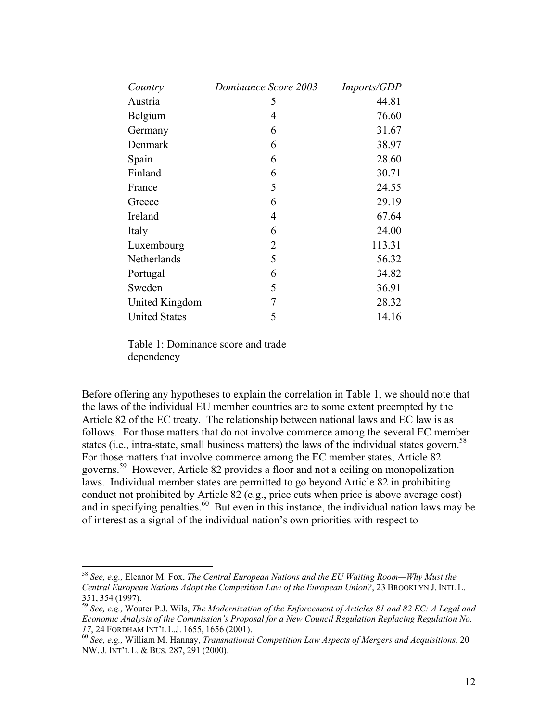| Country              | Dominance Score 2003 | <i>Imports/GDP</i> |
|----------------------|----------------------|--------------------|
| Austria              | 5                    | 44.81              |
| Belgium              | 4                    | 76.60              |
| Germany              | 6                    | 31.67              |
| Denmark              | 6                    | 38.97              |
| Spain                | 6                    | 28.60              |
| Finland              | 6                    | 30.71              |
| France               | 5                    | 24.55              |
| Greece               | 6                    | 29.19              |
| Ireland              | 4                    | 67.64              |
| Italy                | 6                    | 24.00              |
| Luxembourg           | 2                    | 113.31             |
| Netherlands          | 5                    | 56.32              |
| Portugal             | 6                    | 34.82              |
| Sweden               | 5                    | 36.91              |
| United Kingdom       | 7                    | 28.32              |
| <b>United States</b> | 5                    | 14.16              |

Table 1: Dominance score and trade dependency

 $\overline{a}$ 

Before offering any hypotheses to explain the correlation in Table 1, we should note that the laws of the individual EU member countries are to some extent preempted by the Article 82 of the EC treaty. The relationship between national laws and EC law is as follows. For those matters that do not involve commerce among the several EC member states (i.e., intra-state, small business matters) the laws of the individual states govern.<sup>58</sup> For those matters that involve commerce among the EC member states, Article 82 governs.59 However, Article 82 provides a floor and not a ceiling on monopolization laws. Individual member states are permitted to go beyond Article 82 in prohibiting conduct not prohibited by Article 82 (e.g., price cuts when price is above average cost) and in specifying penalties. $^{60}$  But even in this instance, the individual nation laws may be of interest as a signal of the individual nation's own priorities with respect to

<sup>58</sup> *See, e.g.,* Eleanor M. Fox, *The Central European Nations and the EU Waiting Room—Why Must the Central European Nations Adopt the Competition Law of the European Union?*, 23 BROOKLYN J. INTL L.

<sup>&</sup>lt;sup>59</sup> See, e.g., Wouter P.J. Wils, *The Modernization of the Enforcement of Articles 81 and 82 EC: A Legal and Economic Analysis of the Commission's Proposal for a New Council Regulation Replacing Regulation No. 17, 24 FORDHAM INT'L L.J. 1655, 1656 (2001)*.

<sup>&</sup>lt;sup>60</sup> See, e.g., William M. Hannay, *Transnational Competition Law Aspects of Mergers and Acquisitions*, 20 NW. J. INT'L L. & BUS. 287, 291 (2000).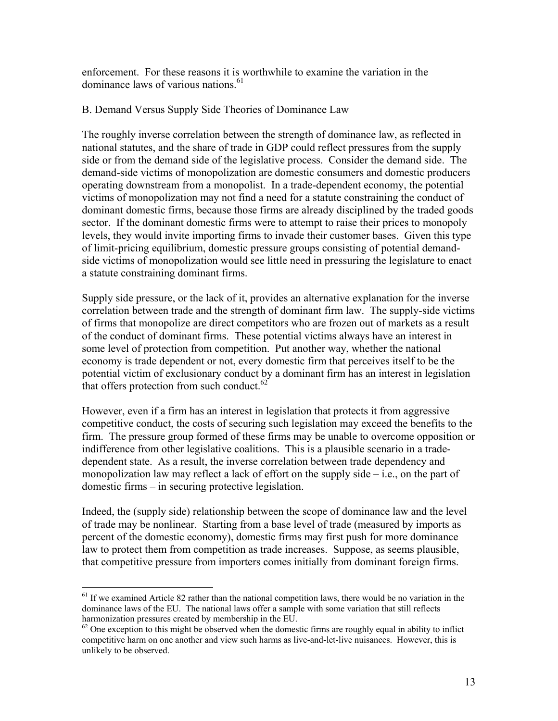enforcement. For these reasons it is worthwhile to examine the variation in the dominance laws of various nations  $61$ 

#### B. Demand Versus Supply Side Theories of Dominance Law

The roughly inverse correlation between the strength of dominance law, as reflected in national statutes, and the share of trade in GDP could reflect pressures from the supply side or from the demand side of the legislative process. Consider the demand side. The demand-side victims of monopolization are domestic consumers and domestic producers operating downstream from a monopolist. In a trade-dependent economy, the potential victims of monopolization may not find a need for a statute constraining the conduct of dominant domestic firms, because those firms are already disciplined by the traded goods sector. If the dominant domestic firms were to attempt to raise their prices to monopoly levels, they would invite importing firms to invade their customer bases. Given this type of limit-pricing equilibrium, domestic pressure groups consisting of potential demandside victims of monopolization would see little need in pressuring the legislature to enact a statute constraining dominant firms.

Supply side pressure, or the lack of it, provides an alternative explanation for the inverse correlation between trade and the strength of dominant firm law. The supply-side victims of firms that monopolize are direct competitors who are frozen out of markets as a result of the conduct of dominant firms. These potential victims always have an interest in some level of protection from competition. Put another way, whether the national economy is trade dependent or not, every domestic firm that perceives itself to be the potential victim of exclusionary conduct by a dominant firm has an interest in legislation that offers protection from such conduct. $62$ 

However, even if a firm has an interest in legislation that protects it from aggressive competitive conduct, the costs of securing such legislation may exceed the benefits to the firm. The pressure group formed of these firms may be unable to overcome opposition or indifference from other legislative coalitions. This is a plausible scenario in a tradedependent state. As a result, the inverse correlation between trade dependency and monopolization law may reflect a lack of effort on the supply side – i.e., on the part of domestic firms – in securing protective legislation.

Indeed, the (supply side) relationship between the scope of dominance law and the level of trade may be nonlinear. Starting from a base level of trade (measured by imports as percent of the domestic economy), domestic firms may first push for more dominance law to protect them from competition as trade increases. Suppose, as seems plausible, that competitive pressure from importers comes initially from dominant foreign firms.

 $\overline{a}$  $61$  If we examined Article 82 rather than the national competition laws, there would be no variation in the dominance laws of the EU. The national laws offer a sample with some variation that still reflects harmonization pressures created by membership in the EU.

 $62$  One exception to this might be observed when the domestic firms are roughly equal in ability to inflict competitive harm on one another and view such harms as live-and-let-live nuisances. However, this is unlikely to be observed.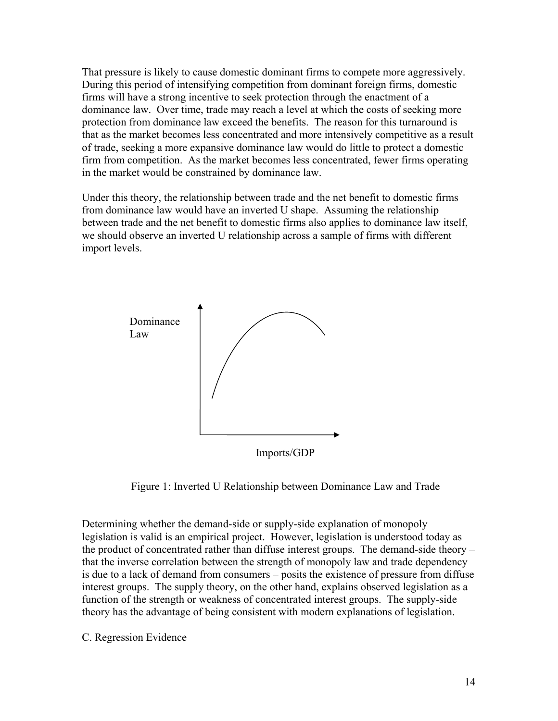That pressure is likely to cause domestic dominant firms to compete more aggressively. During this period of intensifying competition from dominant foreign firms, domestic firms will have a strong incentive to seek protection through the enactment of a dominance law. Over time, trade may reach a level at which the costs of seeking more protection from dominance law exceed the benefits. The reason for this turnaround is that as the market becomes less concentrated and more intensively competitive as a result of trade, seeking a more expansive dominance law would do little to protect a domestic firm from competition. As the market becomes less concentrated, fewer firms operating in the market would be constrained by dominance law.

Under this theory, the relationship between trade and the net benefit to domestic firms from dominance law would have an inverted U shape. Assuming the relationship between trade and the net benefit to domestic firms also applies to dominance law itself, we should observe an inverted U relationship across a sample of firms with different import levels.



Figure 1: Inverted U Relationship between Dominance Law and Trade

Determining whether the demand-side or supply-side explanation of monopoly legislation is valid is an empirical project. However, legislation is understood today as the product of concentrated rather than diffuse interest groups. The demand-side theory – that the inverse correlation between the strength of monopoly law and trade dependency is due to a lack of demand from consumers – posits the existence of pressure from diffuse interest groups. The supply theory, on the other hand, explains observed legislation as a function of the strength or weakness of concentrated interest groups. The supply-side theory has the advantage of being consistent with modern explanations of legislation.

#### C. Regression Evidence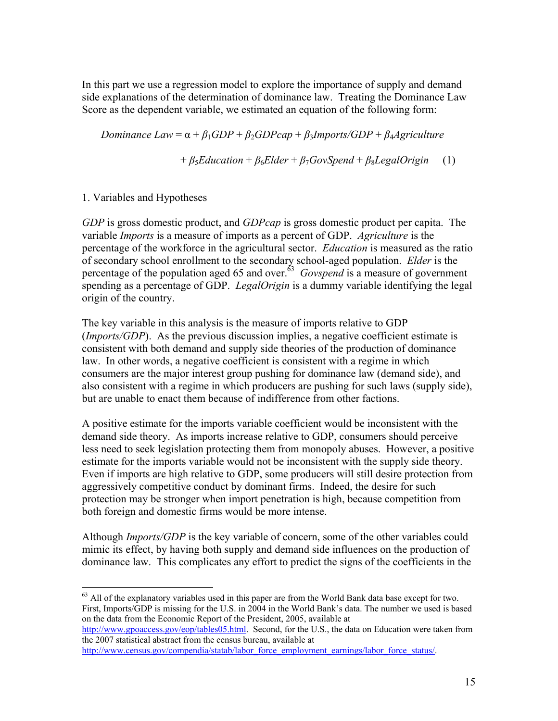In this part we use a regression model to explore the importance of supply and demand side explanations of the determination of dominance law. Treating the Dominance Law Score as the dependent variable, we estimated an equation of the following form:

*Dominance Law* =  $\alpha + \beta_1 GDP + \beta_2 GDPcap + \beta_3 Imports/GDP + \beta_4 Agriculture$ 

 $+ \beta_5$ *Education* +  $\beta_6$ *Elder* +  $\beta_7$ *GovSpend* +  $\beta_8$ *LegalOrigin* (1)

## 1. Variables and Hypotheses

*GDP* is gross domestic product, and *GDPcap* is gross domestic product per capita. The variable *Imports* is a measure of imports as a percent of GDP. *Agriculture* is the percentage of the workforce in the agricultural sector. *Education* is measured as the ratio of secondary school enrollment to the secondary school-aged population. *Elder* is the percentage of the population aged 65 and over.<sup>63</sup> *Govspend* is a measure of government spending as a percentage of GDP. *LegalOrigin* is a dummy variable identifying the legal origin of the country.

The key variable in this analysis is the measure of imports relative to GDP (*Imports/GDP*). As the previous discussion implies, a negative coefficient estimate is consistent with both demand and supply side theories of the production of dominance law. In other words, a negative coefficient is consistent with a regime in which consumers are the major interest group pushing for dominance law (demand side), and also consistent with a regime in which producers are pushing for such laws (supply side), but are unable to enact them because of indifference from other factions.

A positive estimate for the imports variable coefficient would be inconsistent with the demand side theory. As imports increase relative to GDP, consumers should perceive less need to seek legislation protecting them from monopoly abuses. However, a positive estimate for the imports variable would not be inconsistent with the supply side theory. Even if imports are high relative to GDP, some producers will still desire protection from aggressively competitive conduct by dominant firms. Indeed, the desire for such protection may be stronger when import penetration is high, because competition from both foreign and domestic firms would be more intense.

Although *Imports/GDP* is the key variable of concern, some of the other variables could mimic its effect, by having both supply and demand side influences on the production of dominance law. This complicates any effort to predict the signs of the coefficients in the

 $\overline{a}$  $63$  All of the explanatory variables used in this paper are from the World Bank data base except for two. First, Imports/GDP is missing for the U.S. in 2004 in the World Bank's data. The number we used is based on the data from the Economic Report of the President, 2005, available at

http://www.gpoaccess.gov/eop/tables05.html. Second, for the U.S., the data on Education were taken from the 2007 statistical abstract from the census bureau, available at

http://www.census.gov/compendia/statab/labor\_force\_employment\_earnings/labor\_force\_status/.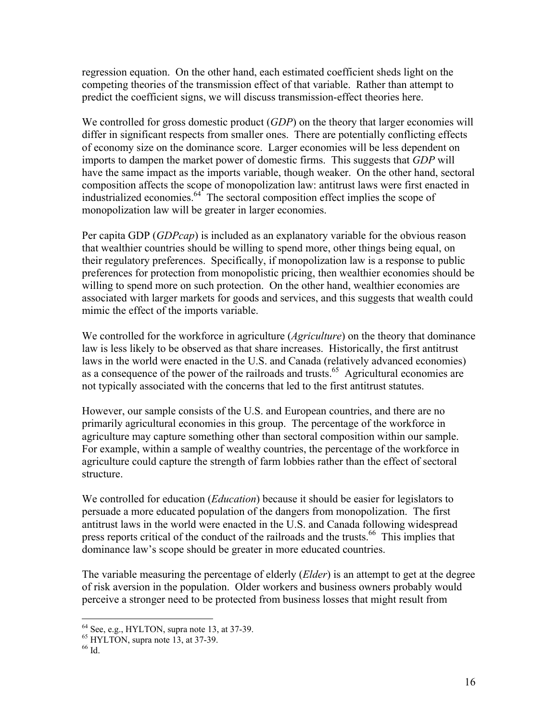regression equation. On the other hand, each estimated coefficient sheds light on the competing theories of the transmission effect of that variable. Rather than attempt to predict the coefficient signs, we will discuss transmission-effect theories here.

We controlled for gross domestic product (*GDP*) on the theory that larger economies will differ in significant respects from smaller ones. There are potentially conflicting effects of economy size on the dominance score. Larger economies will be less dependent on imports to dampen the market power of domestic firms. This suggests that *GDP* will have the same impact as the imports variable, though weaker. On the other hand, sectoral composition affects the scope of monopolization law: antitrust laws were first enacted in industrialized economies.<sup>64</sup> The sectoral composition effect implies the scope of monopolization law will be greater in larger economies.

Per capita GDP (*GDPcap*) is included as an explanatory variable for the obvious reason that wealthier countries should be willing to spend more, other things being equal, on their regulatory preferences. Specifically, if monopolization law is a response to public preferences for protection from monopolistic pricing, then wealthier economies should be willing to spend more on such protection. On the other hand, wealthier economies are associated with larger markets for goods and services, and this suggests that wealth could mimic the effect of the imports variable.

We controlled for the workforce in agriculture (*Agriculture*) on the theory that dominance law is less likely to be observed as that share increases. Historically, the first antitrust laws in the world were enacted in the U.S. and Canada (relatively advanced economies) as a consequence of the power of the railroads and trusts.<sup>65</sup> Agricultural economies are not typically associated with the concerns that led to the first antitrust statutes.

However, our sample consists of the U.S. and European countries, and there are no primarily agricultural economies in this group. The percentage of the workforce in agriculture may capture something other than sectoral composition within our sample. For example, within a sample of wealthy countries, the percentage of the workforce in agriculture could capture the strength of farm lobbies rather than the effect of sectoral structure.

We controlled for education (*Education*) because it should be easier for legislators to persuade a more educated population of the dangers from monopolization. The first antitrust laws in the world were enacted in the U.S. and Canada following widespread press reports critical of the conduct of the railroads and the trusts.<sup>66</sup> This implies that dominance law's scope should be greater in more educated countries.

The variable measuring the percentage of elderly (*Elder*) is an attempt to get at the degree of risk aversion in the population. Older workers and business owners probably would perceive a stronger need to be protected from business losses that might result from

 $\overline{a}$ 

 $64$  See, e.g., HYLTON, supra note 13, at 37-39.

 $<sup>65</sup>$  HYLTON, supra note 13, at 37-39.</sup>

<sup>66</sup> Id.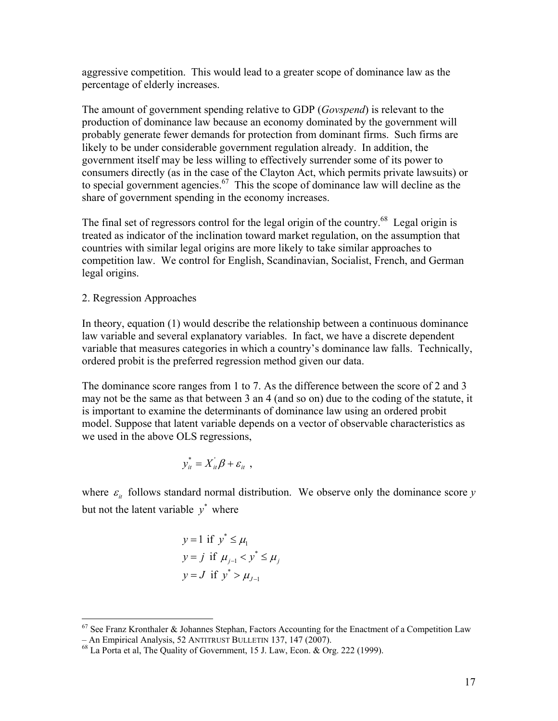aggressive competition. This would lead to a greater scope of dominance law as the percentage of elderly increases.

The amount of government spending relative to GDP (*Govspend*) is relevant to the production of dominance law because an economy dominated by the government will probably generate fewer demands for protection from dominant firms. Such firms are likely to be under considerable government regulation already. In addition, the government itself may be less willing to effectively surrender some of its power to consumers directly (as in the case of the Clayton Act, which permits private lawsuits) or to special government agencies. $67$  This the scope of dominance law will decline as the share of government spending in the economy increases.

The final set of regressors control for the legal origin of the country.<sup>68</sup> Legal origin is treated as indicator of the inclination toward market regulation, on the assumption that countries with similar legal origins are more likely to take similar approaches to competition law. We control for English, Scandinavian, Socialist, French, and German legal origins.

2. Regression Approaches

In theory, equation (1) would describe the relationship between a continuous dominance law variable and several explanatory variables. In fact, we have a discrete dependent variable that measures categories in which a country's dominance law falls. Technically, ordered probit is the preferred regression method given our data.

The dominance score ranges from 1 to 7. As the difference between the score of 2 and 3 may not be the same as that between 3 an 4 (and so on) due to the coding of the statute, it is important to examine the determinants of dominance law using an ordered probit model. Suppose that latent variable depends on a vector of observable characteristics as we used in the above OLS regressions,

$$
y_{it}^* = X_{it} \beta + \varepsilon_{it} ,
$$

where  $\varepsilon$ <sub>*it*</sub> follows standard normal distribution. We observe only the dominance score *y* but not the latent variable  $y^*$  where

$$
y = 1
$$
 if  $y^* \le \mu_1$   
\n $y = j$  if  $\mu_{j-1} < y^* \le \mu_j$   
\n $y = J$  if  $y^* > \mu_{j-1}$ 

<sup>1</sup>  $67$  See Franz Kronthaler & Johannes Stephan, Factors Accounting for the Enactment of a Competition Law – An Empirical Analysis, 52 ANTITRUST BULLETIN 137, 147 (2007). 68 La Porta et al, The Quality of Government, 15 J. Law, Econ. & Org. 222 (1999).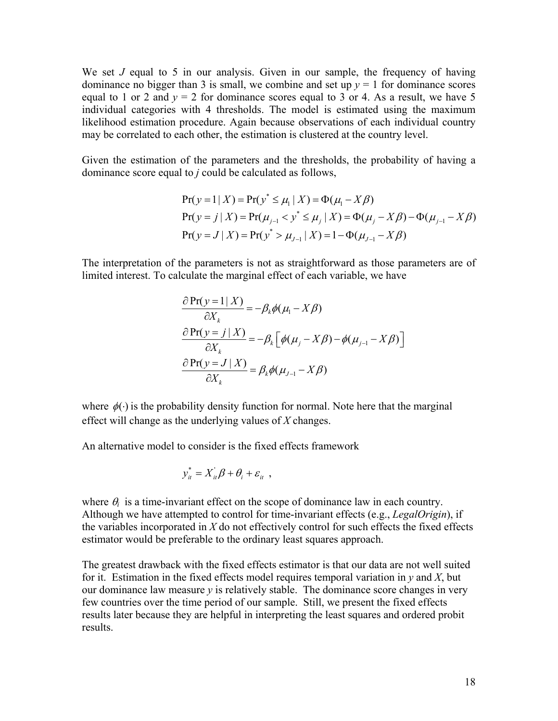We set *J* equal to 5 in our analysis. Given in our sample, the frequency of having dominance no bigger than 3 is small, we combine and set up  $y = 1$  for dominance scores equal to 1 or 2 and  $y = 2$  for dominance scores equal to 3 or 4. As a result, we have 5 individual categories with 4 thresholds. The model is estimated using the maximum likelihood estimation procedure. Again because observations of each individual country may be correlated to each other, the estimation is clustered at the country level.

Given the estimation of the parameters and the thresholds, the probability of having a dominance score equal to *j* could be calculated as follows,

$$
Pr(y = 1 | X) = Pr(y^* \le \mu_1 | X) = \Phi(\mu_1 - X\beta)
$$
  
Pr(y = j | X) = Pr( $\mu_{j-1} < y^* \le \mu_j | X$ ) =  $\Phi(\mu_j - X\beta) - \Phi(\mu_{j-1} - X\beta)$   
Pr(y = J | X) = Pr(y^\* > \mu\_{j-1} | X) = 1 - \Phi(\mu\_{j-1} - X\beta)

The interpretation of the parameters is not as straightforward as those parameters are of limited interest. To calculate the marginal effect of each variable, we have

$$
\frac{\partial \Pr(y=1|X)}{\partial X_k} = -\beta_k \phi(\mu_1 - X\beta)
$$

$$
\frac{\partial \Pr(y=j|X)}{\partial X_k} = -\beta_k \left[ \phi(\mu_j - X\beta) - \phi(\mu_{j-1} - X\beta) \right]
$$

$$
\frac{\partial \Pr(y=J|X)}{\partial X_k} = \beta_k \phi(\mu_{j-1} - X\beta)
$$

where  $\phi(\cdot)$  is the probability density function for normal. Note here that the marginal effect will change as the underlying values of *X* changes.

An alternative model to consider is the fixed effects framework

$$
y_{it}^* = X_{it}'\beta + \theta_i + \varepsilon_{it} ,
$$

where  $\theta_i$  is a time-invariant effect on the scope of dominance law in each country. Although we have attempted to control for time-invariant effects (e.g., *LegalOrigin*), if the variables incorporated in *X* do not effectively control for such effects the fixed effects estimator would be preferable to the ordinary least squares approach.

The greatest drawback with the fixed effects estimator is that our data are not well suited for it. Estimation in the fixed effects model requires temporal variation in *y* and *X*, but our dominance law measure *y* is relatively stable. The dominance score changes in very few countries over the time period of our sample. Still, we present the fixed effects results later because they are helpful in interpreting the least squares and ordered probit results.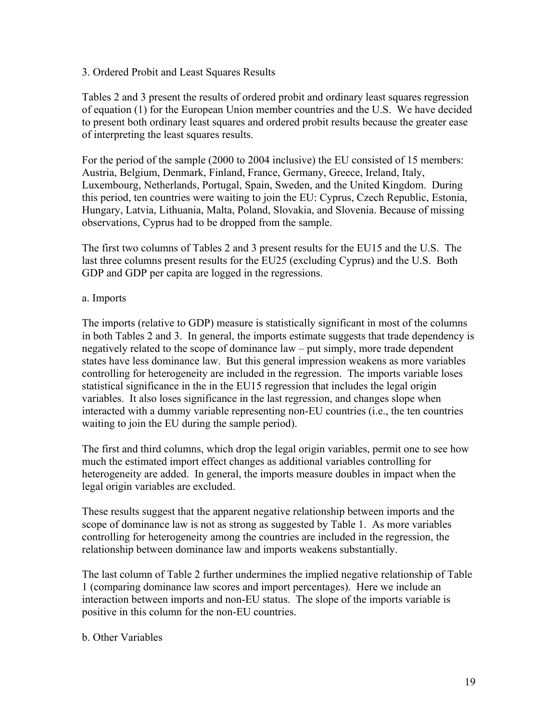#### 3. Ordered Probit and Least Squares Results

Tables 2 and 3 present the results of ordered probit and ordinary least squares regression of equation (1) for the European Union member countries and the U.S. We have decided to present both ordinary least squares and ordered probit results because the greater ease of interpreting the least squares results.

For the period of the sample (2000 to 2004 inclusive) the EU consisted of 15 members: Austria, Belgium, Denmark, Finland, France, Germany, Greece, Ireland, Italy, Luxembourg, Netherlands, Portugal, Spain, Sweden, and the United Kingdom. During this period, ten countries were waiting to join the EU: Cyprus, Czech Republic, Estonia, Hungary, Latvia, Lithuania, Malta, Poland, Slovakia, and Slovenia. Because of missing observations, Cyprus had to be dropped from the sample.

The first two columns of Tables 2 and 3 present results for the EU15 and the U.S. The last three columns present results for the EU25 (excluding Cyprus) and the U.S. Both GDP and GDP per capita are logged in the regressions.

#### a. Imports

The imports (relative to GDP) measure is statistically significant in most of the columns in both Tables 2 and 3. In general, the imports estimate suggests that trade dependency is negatively related to the scope of dominance law – put simply, more trade dependent states have less dominance law. But this general impression weakens as more variables controlling for heterogeneity are included in the regression. The imports variable loses statistical significance in the in the EU15 regression that includes the legal origin variables. It also loses significance in the last regression, and changes slope when interacted with a dummy variable representing non-EU countries (i.e., the ten countries waiting to join the EU during the sample period).

The first and third columns, which drop the legal origin variables, permit one to see how much the estimated import effect changes as additional variables controlling for heterogeneity are added. In general, the imports measure doubles in impact when the legal origin variables are excluded.

These results suggest that the apparent negative relationship between imports and the scope of dominance law is not as strong as suggested by Table 1. As more variables controlling for heterogeneity among the countries are included in the regression, the relationship between dominance law and imports weakens substantially.

The last column of Table 2 further undermines the implied negative relationship of Table 1 (comparing dominance law scores and import percentages). Here we include an interaction between imports and non-EU status. The slope of the imports variable is positive in this column for the non-EU countries.

#### b. Other Variables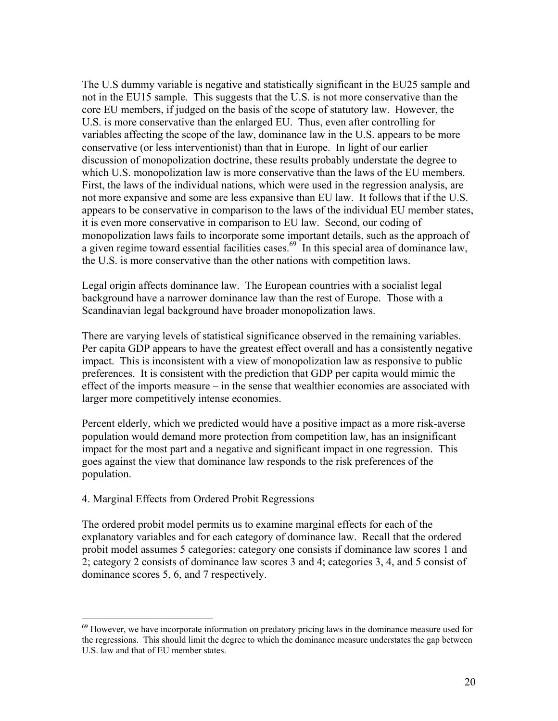The U.S dummy variable is negative and statistically significant in the EU25 sample and not in the EU15 sample. This suggests that the U.S. is not more conservative than the core EU members, if judged on the basis of the scope of statutory law. However, the U.S. is more conservative than the enlarged EU. Thus, even after controlling for variables affecting the scope of the law, dominance law in the U.S. appears to be more conservative (or less interventionist) than that in Europe. In light of our earlier discussion of monopolization doctrine, these results probably understate the degree to which U.S. monopolization law is more conservative than the laws of the EU members. First, the laws of the individual nations, which were used in the regression analysis, are not more expansive and some are less expansive than EU law. It follows that if the U.S. appears to be conservative in comparison to the laws of the individual EU member states, it is even more conservative in comparison to EU law. Second, our coding of monopolization laws fails to incorporate some important details, such as the approach of a given regime toward essential facilities cases.<sup>69</sup> In this special area of dominance law, the U.S. is more conservative than the other nations with competition laws.

Legal origin affects dominance law. The European countries with a socialist legal background have a narrower dominance law than the rest of Europe. Those with a Scandinavian legal background have broader monopolization laws.

There are varying levels of statistical significance observed in the remaining variables. Per capita GDP appears to have the greatest effect overall and has a consistently negative impact. This is inconsistent with a view of monopolization law as responsive to public preferences. It is consistent with the prediction that GDP per capita would mimic the effect of the imports measure – in the sense that wealthier economies are associated with larger more competitively intense economies.

Percent elderly, which we predicted would have a positive impact as a more risk-averse population would demand more protection from competition law, has an insignificant impact for the most part and a negative and significant impact in one regression. This goes against the view that dominance law responds to the risk preferences of the population.

#### 4. Marginal Effects from Ordered Probit Regressions

1

The ordered probit model permits us to examine marginal effects for each of the explanatory variables and for each category of dominance law. Recall that the ordered probit model assumes 5 categories: category one consists if dominance law scores 1 and 2; category 2 consists of dominance law scores 3 and 4; categories 3, 4, and 5 consist of dominance scores 5, 6, and 7 respectively.

 $69$  However, we have incorporate information on predatory pricing laws in the dominance measure used for the regressions. This should limit the degree to which the dominance measure understates the gap between U.S. law and that of EU member states.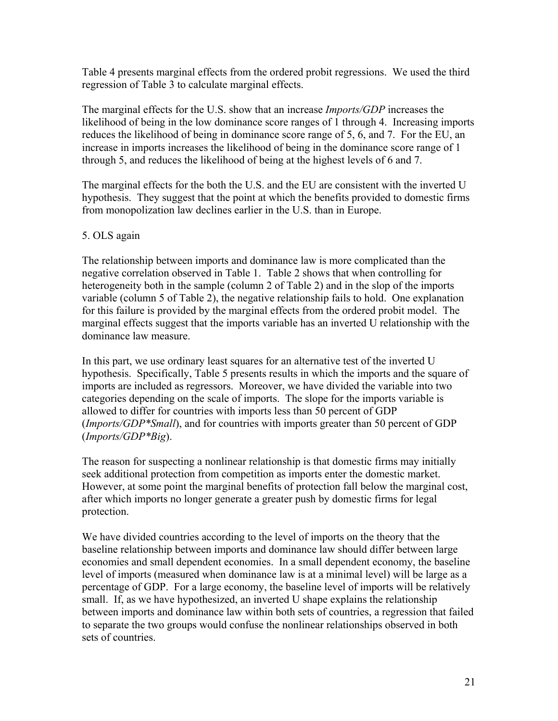Table 4 presents marginal effects from the ordered probit regressions. We used the third regression of Table 3 to calculate marginal effects.

The marginal effects for the U.S. show that an increase *Imports/GDP* increases the likelihood of being in the low dominance score ranges of 1 through 4. Increasing imports reduces the likelihood of being in dominance score range of 5, 6, and 7. For the EU, an increase in imports increases the likelihood of being in the dominance score range of 1 through 5, and reduces the likelihood of being at the highest levels of 6 and 7.

The marginal effects for the both the U.S. and the EU are consistent with the inverted U hypothesis. They suggest that the point at which the benefits provided to domestic firms from monopolization law declines earlier in the U.S. than in Europe.

## 5. OLS again

The relationship between imports and dominance law is more complicated than the negative correlation observed in Table 1. Table 2 shows that when controlling for heterogeneity both in the sample (column 2 of Table 2) and in the slop of the imports variable (column 5 of Table 2), the negative relationship fails to hold. One explanation for this failure is provided by the marginal effects from the ordered probit model. The marginal effects suggest that the imports variable has an inverted U relationship with the dominance law measure.

In this part, we use ordinary least squares for an alternative test of the inverted U hypothesis. Specifically, Table 5 presents results in which the imports and the square of imports are included as regressors. Moreover, we have divided the variable into two categories depending on the scale of imports. The slope for the imports variable is allowed to differ for countries with imports less than 50 percent of GDP (*Imports/GDP\*Small*), and for countries with imports greater than 50 percent of GDP (*Imports/GDP\*Big*).

The reason for suspecting a nonlinear relationship is that domestic firms may initially seek additional protection from competition as imports enter the domestic market. However, at some point the marginal benefits of protection fall below the marginal cost, after which imports no longer generate a greater push by domestic firms for legal protection.

We have divided countries according to the level of imports on the theory that the baseline relationship between imports and dominance law should differ between large economies and small dependent economies. In a small dependent economy, the baseline level of imports (measured when dominance law is at a minimal level) will be large as a percentage of GDP. For a large economy, the baseline level of imports will be relatively small. If, as we have hypothesized, an inverted U shape explains the relationship between imports and dominance law within both sets of countries, a regression that failed to separate the two groups would confuse the nonlinear relationships observed in both sets of countries.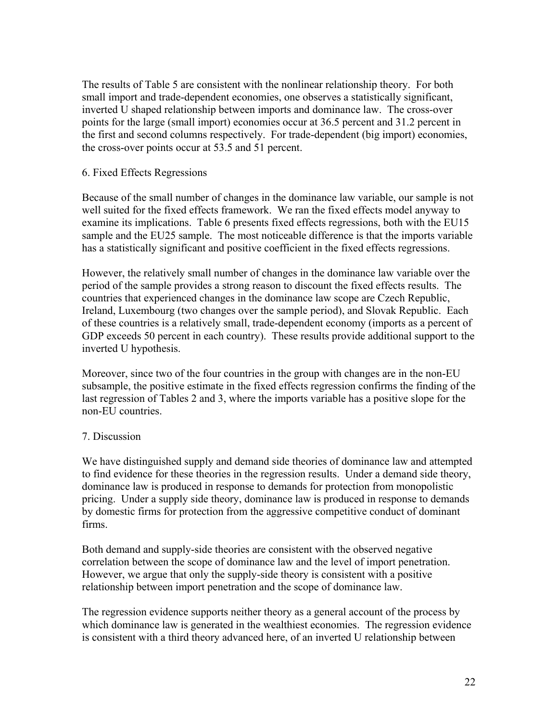The results of Table 5 are consistent with the nonlinear relationship theory. For both small import and trade-dependent economies, one observes a statistically significant, inverted U shaped relationship between imports and dominance law. The cross-over points for the large (small import) economies occur at 36.5 percent and 31.2 percent in the first and second columns respectively. For trade-dependent (big import) economies, the cross-over points occur at 53.5 and 51 percent.

#### 6. Fixed Effects Regressions

Because of the small number of changes in the dominance law variable, our sample is not well suited for the fixed effects framework. We ran the fixed effects model anyway to examine its implications. Table 6 presents fixed effects regressions, both with the EU15 sample and the EU25 sample. The most noticeable difference is that the imports variable has a statistically significant and positive coefficient in the fixed effects regressions.

However, the relatively small number of changes in the dominance law variable over the period of the sample provides a strong reason to discount the fixed effects results. The countries that experienced changes in the dominance law scope are Czech Republic, Ireland, Luxembourg (two changes over the sample period), and Slovak Republic. Each of these countries is a relatively small, trade-dependent economy (imports as a percent of GDP exceeds 50 percent in each country). These results provide additional support to the inverted U hypothesis.

Moreover, since two of the four countries in the group with changes are in the non-EU subsample, the positive estimate in the fixed effects regression confirms the finding of the last regression of Tables 2 and 3, where the imports variable has a positive slope for the non-EU countries.

#### 7. Discussion

We have distinguished supply and demand side theories of dominance law and attempted to find evidence for these theories in the regression results. Under a demand side theory, dominance law is produced in response to demands for protection from monopolistic pricing. Under a supply side theory, dominance law is produced in response to demands by domestic firms for protection from the aggressive competitive conduct of dominant firms.

Both demand and supply-side theories are consistent with the observed negative correlation between the scope of dominance law and the level of import penetration. However, we argue that only the supply-side theory is consistent with a positive relationship between import penetration and the scope of dominance law.

The regression evidence supports neither theory as a general account of the process by which dominance law is generated in the wealthiest economies. The regression evidence is consistent with a third theory advanced here, of an inverted U relationship between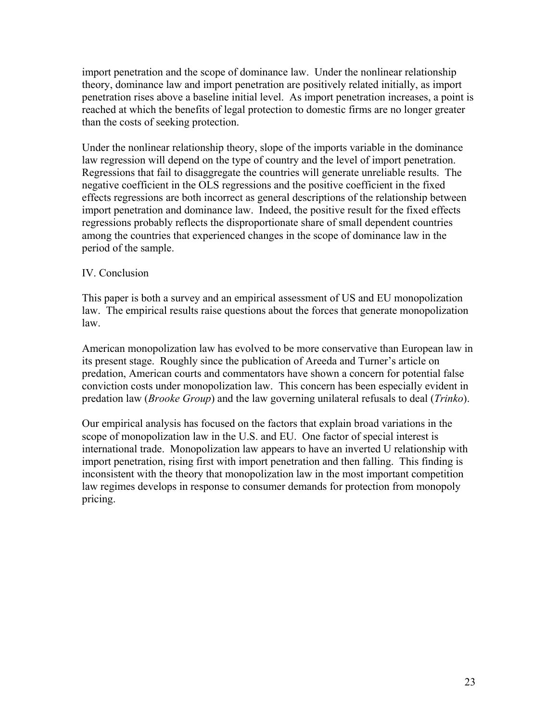import penetration and the scope of dominance law. Under the nonlinear relationship theory, dominance law and import penetration are positively related initially, as import penetration rises above a baseline initial level. As import penetration increases, a point is reached at which the benefits of legal protection to domestic firms are no longer greater than the costs of seeking protection.

Under the nonlinear relationship theory, slope of the imports variable in the dominance law regression will depend on the type of country and the level of import penetration. Regressions that fail to disaggregate the countries will generate unreliable results. The negative coefficient in the OLS regressions and the positive coefficient in the fixed effects regressions are both incorrect as general descriptions of the relationship between import penetration and dominance law. Indeed, the positive result for the fixed effects regressions probably reflects the disproportionate share of small dependent countries among the countries that experienced changes in the scope of dominance law in the period of the sample.

#### IV. Conclusion

This paper is both a survey and an empirical assessment of US and EU monopolization law. The empirical results raise questions about the forces that generate monopolization law.

American monopolization law has evolved to be more conservative than European law in its present stage. Roughly since the publication of Areeda and Turner's article on predation, American courts and commentators have shown a concern for potential false conviction costs under monopolization law. This concern has been especially evident in predation law (*Brooke Group*) and the law governing unilateral refusals to deal (*Trinko*).

Our empirical analysis has focused on the factors that explain broad variations in the scope of monopolization law in the U.S. and EU. One factor of special interest is international trade. Monopolization law appears to have an inverted U relationship with import penetration, rising first with import penetration and then falling. This finding is inconsistent with the theory that monopolization law in the most important competition law regimes develops in response to consumer demands for protection from monopoly pricing.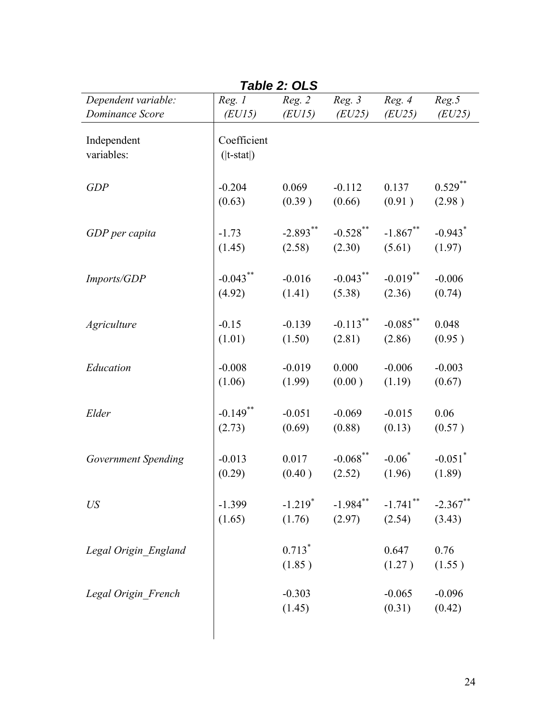|                      | TADIE Z. ULS |                       |             |                        |                       |  |  |
|----------------------|--------------|-----------------------|-------------|------------------------|-----------------------|--|--|
| Dependent variable:  | Reg. 1       | Reg. 2                | Reg. 3      | Reg. 4                 | Reg.5                 |  |  |
| Dominance Score      | (EUI5)       | (EUI5)                | (EU25)      | (EU25)                 | (EU25)                |  |  |
|                      |              |                       |             |                        |                       |  |  |
| Independent          | Coefficient  |                       |             |                        |                       |  |  |
| variables:           | $( t-stat )$ |                       |             |                        |                       |  |  |
|                      |              |                       |             |                        |                       |  |  |
| <b>GDP</b>           | $-0.204$     | 0.069                 | $-0.112$    | 0.137                  | $0.529$ **            |  |  |
|                      | (0.63)       | (0.39)                | (0.66)      | (0.91)                 | (2.98)                |  |  |
|                      |              |                       |             |                        |                       |  |  |
| GDP per capita       | $-1.73$      | $-2.893***$           | $-0.528$ ** | $-1.867$ **            | $-0.943$ <sup>*</sup> |  |  |
|                      | (1.45)       | (2.58)                | (2.30)      | (5.61)                 | (1.97)                |  |  |
|                      |              |                       |             |                        |                       |  |  |
|                      | $-0.043$ **  | $-0.016$              | $-0.043$ ** | $-0.019$ <sup>**</sup> | $-0.006$              |  |  |
| Imports/GDP          |              |                       |             |                        |                       |  |  |
|                      | (4.92)       | (1.41)                | (5.38)      | (2.36)                 | (0.74)                |  |  |
|                      |              |                       |             |                        |                       |  |  |
| <b>Agriculture</b>   | $-0.15$      | $-0.139$              | $-0.113$ ** | $-0.085***$            | 0.048                 |  |  |
|                      | (1.01)       | (1.50)                | (2.81)      | (2.86)                 | (0.95)                |  |  |
|                      |              |                       |             |                        |                       |  |  |
| Education            | $-0.008$     | $-0.019$              | 0.000       | $-0.006$               | $-0.003$              |  |  |
|                      | (1.06)       | (1.99)                | (0.00)      | (1.19)                 | (0.67)                |  |  |
|                      |              |                       |             |                        |                       |  |  |
| Elder                | $-0.149$ **  | $-0.051$              | $-0.069$    | $-0.015$               | 0.06                  |  |  |
|                      | (2.73)       | (0.69)                | (0.88)      | (0.13)                 | (0.57)                |  |  |
|                      |              |                       |             |                        |                       |  |  |
| Government Spending  | $-0.013$     | 0.017                 | $-0.068$ ** | $-0.06^*$              | $-0.051$ <sup>*</sup> |  |  |
|                      | (0.29)       | (0.40)                | (2.52)      | (1.96)                 | (1.89)                |  |  |
|                      |              |                       |             |                        |                       |  |  |
| US                   | $-1.399$     | $-1.219$ <sup>*</sup> | $-1.984$ ** | $-1.741$ **            | $-2.367$ **           |  |  |
|                      | (1.65)       | (1.76)                | (2.97)      | (2.54)                 | (3.43)                |  |  |
|                      |              |                       |             |                        |                       |  |  |
| Legal Origin England |              | $0.713*$              |             | 0.647                  | 0.76                  |  |  |
|                      |              | (1.85)                |             | (1.27)                 | (1.55)                |  |  |
|                      |              |                       |             |                        |                       |  |  |
| Legal Origin French  |              | $-0.303$              |             | $-0.065$               | $-0.096$              |  |  |
|                      |              | (1.45)                |             | (0.31)                 | (0.42)                |  |  |
|                      |              |                       |             |                        |                       |  |  |
|                      |              |                       |             |                        |                       |  |  |

*Table 2: OLS*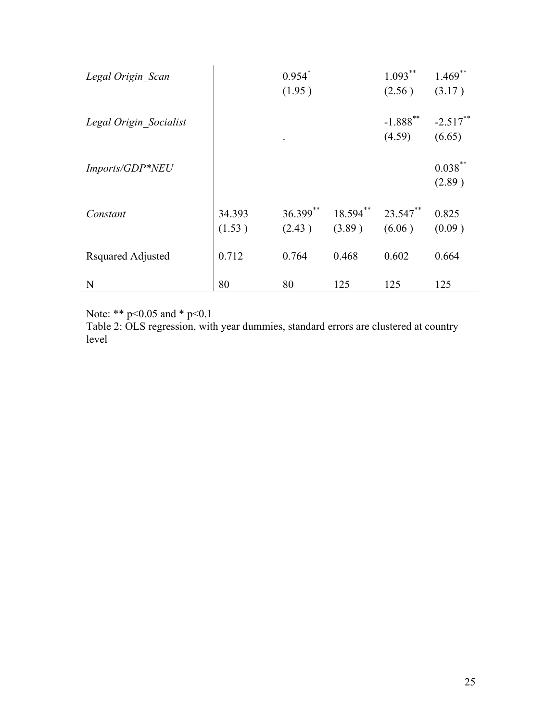| Legal Origin Scan        |                  | $0.954$ <sup>*</sup><br>(1.95) |                                                                         | $1.093***$<br>(2.56)             | $1.469$ **<br>(3.17)  |
|--------------------------|------------------|--------------------------------|-------------------------------------------------------------------------|----------------------------------|-----------------------|
| Legal Origin Socialist   |                  |                                |                                                                         | $-1.888$ <sup>**</sup><br>(4.59) | $-2.517$ **<br>(6.65) |
| Imports/GDP*NEU          |                  |                                |                                                                         |                                  | $0.038$ **<br>(2.89)  |
| Constant                 | 34.393<br>(1.53) |                                | $36.399^{**}$ $18.594^{**}$ $23.547^{**}$<br>$(2.43)$ $(3.89)$ $(6.06)$ |                                  | 0.825<br>(0.09)       |
| <b>Rsquared Adjusted</b> | 0.712            | 0.764                          | 0.468                                                                   | 0.602                            | 0.664                 |
| N                        | 80               | 80                             | 125                                                                     | 125                              | 125                   |

Note: \*\*  $p<0.05$  and \*  $p<0.1$ 

Table 2: OLS regression, with year dummies, standard errors are clustered at country level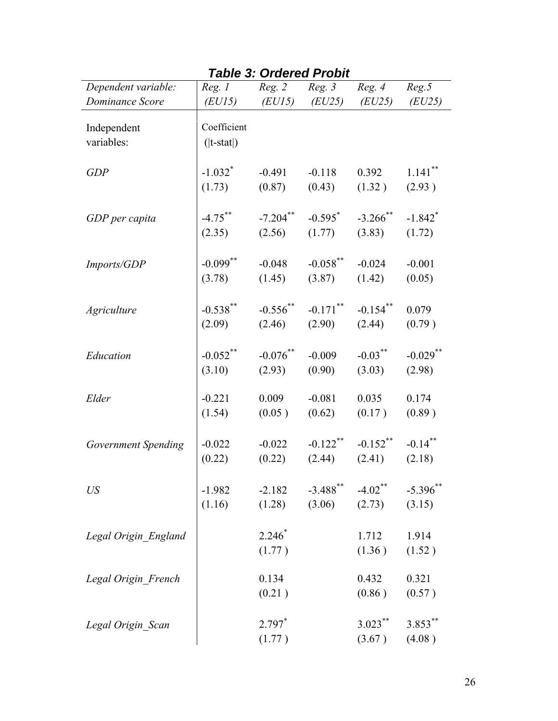|                      |                            | rable 5: Ordered Probit |                        |                       |                       |
|----------------------|----------------------------|-------------------------|------------------------|-----------------------|-----------------------|
| Dependent variable:  | Reg. 1                     | Reg. 2                  | Reg. 3                 | Reg. 4                | Reg.5                 |
| Dominance Score      | $(EU15)$ $(EU15)$ $(EU25)$ |                         |                        | (EU25)                | (EU25)                |
| Independent          | Coefficient                |                         |                        |                       |                       |
| variables:           | $( t-stat )$               |                         |                        |                       |                       |
|                      |                            |                         |                        |                       |                       |
| <b>GDP</b>           | $-1.032$ <sup>*</sup>      | $-0.491$                | $-0.118$               | 0.392                 | $1.141$ **            |
|                      | (1.73)                     | (0.87)                  | (0.43)                 | (1.32)                | (2.93)                |
|                      |                            |                         |                        |                       |                       |
| GDP per capita       | $-4.75$ **                 | $-7.204$ **             | $-0.595^*$             | $-3.266$ **           | $-1.842$ <sup>*</sup> |
|                      | (2.35)                     | (2.56)                  | (1.77)                 | (3.83)                | (1.72)                |
|                      |                            |                         |                        |                       |                       |
| Imports/GDP          | $-0.099$ **                | $-0.048$                | $-0.058$ **            | $-0.024$              | $-0.001$              |
|                      | (3.78)                     | (1.45)                  | (3.87)                 | (1.42)                | (0.05)                |
|                      |                            |                         |                        |                       |                       |
| <b>Agriculture</b>   | $-0.538$ **                | $-0.556$ **             | $-0.171$ **            | $-0.154$ **           | 0.079                 |
|                      | (2.09)                     | (2.46)                  | (2.90)                 | (2.44)                | (0.79)                |
|                      |                            |                         |                        |                       |                       |
| Education            | $-0.052$ **                | $-0.076***$             | $-0.009$               | $-0.03$ **            | $-0.029$ **           |
|                      | (3.10)                     | (2.93)                  | (0.90)                 | (3.03)                | (2.98)                |
|                      |                            |                         |                        |                       |                       |
| Elder                | $-0.221$                   | 0.009                   | $-0.081$               | 0.035                 | 0.174                 |
|                      | (1.54)                     | (0.05)                  | (0.62)                 | (0.17)                | (0.89)                |
|                      |                            |                         |                        |                       |                       |
| Government Spending  | $-0.022$                   | $-0.022$                | $-0.122$ **            | $-0.152$ **           | $-0.14$ **            |
|                      | (0.22)                     | (0.22)                  | (2.44)                 | (2.41)                | (2.18)                |
|                      |                            |                         |                        |                       |                       |
| US                   | $-1.982$                   | $-2.182$                | $-3.488$ <sup>**</sup> | $-4.02$ <sup>**</sup> | $-5.396$ **           |
|                      | (1.16)                     | (1.28)                  | (3.06)                 | (2.73)                | (3.15)                |
|                      |                            |                         |                        |                       |                       |
| Legal Origin England |                            | $2.246^*$               |                        | 1.712                 | 1.914                 |
|                      |                            | (1.77)                  |                        | (1.36)                | (1.52)                |
| Legal Origin French  |                            | 0.134                   |                        | 0.432                 | 0.321                 |
|                      |                            | (0.21)                  |                        | (0.86)                | (0.57)                |
|                      |                            |                         |                        |                       |                       |
| Legal Origin Scan    |                            | $2.797*$                |                        | $3.023$ **            | $3.853$ **            |
|                      |                            | (1.77)                  |                        | (3.67)                | (4.08)                |
|                      |                            |                         |                        |                       |                       |

# *Table 3: Ordered Probit*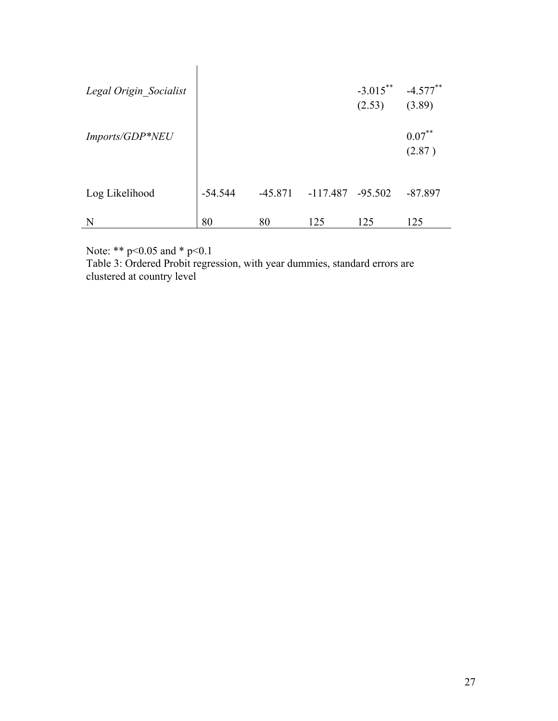| Legal Origin Socialist |           |           |                  | $-3.015$ **<br>(2.53) | $-4.577$ **<br>(3.89) |
|------------------------|-----------|-----------|------------------|-----------------------|-----------------------|
| Imports/GDP*NEU        |           |           |                  |                       | $0.07***$<br>(2.87)   |
| Log Likelihood         | $-54.544$ | $-45.871$ | -117.487 -95.502 |                       | $-87.897$             |
| N                      | 80        | 80        | 125              | 125                   | 125                   |

Note: \*\*  $p<0.05$  and \*  $p<0.1$ 

Table 3: Ordered Probit regression, with year dummies, standard errors are clustered at country level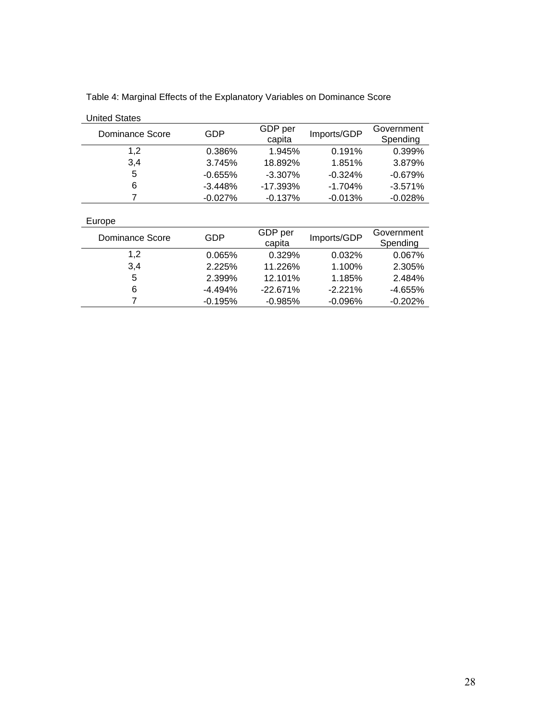| <b>United States</b> |           |                   |             |                        |
|----------------------|-----------|-------------------|-------------|------------------------|
| Dominance Score      | GDP       | GDP per<br>capita | Imports/GDP | Government<br>Spending |
| 1,2                  | 0.386%    | 1.945%            | 0.191%      | 0.399%                 |
| 3,4                  | 3.745%    | 18.892%           | 1.851%      | 3.879%                 |
| 5                    | $-0.655%$ | $-3.307%$         | $-0.324%$   | $-0.679%$              |
| 6                    | $-3.448%$ | $-17.393%$        | $-1.704%$   | $-3.571%$              |
| 7                    | $-0.027%$ | $-0.137%$         | $-0.013%$   | $-0.028%$              |
| Europe               |           |                   |             |                        |
| Dominance Score      | GDP       | GDP per<br>capita | Imports/GDP | Government<br>Spending |
| 1,2                  | 0.065%    | 0.329%            | 0.032%      | 0.067%                 |
| 3,4                  | 2.225%    | 11.226%           | 1.100%      | 2.305%                 |
| 5                    | 2.399%    | 12.101%           | 1.185%      | 2.484%                 |
| 6                    | $-4.494%$ | $-22.671%$        | $-2.221%$   | $-4.655%$              |
| 7                    | $-0.195%$ | $-0.985%$         | $-0.096%$   | $-0.202%$              |

Table 4: Marginal Effects of the Explanatory Variables on Dominance Score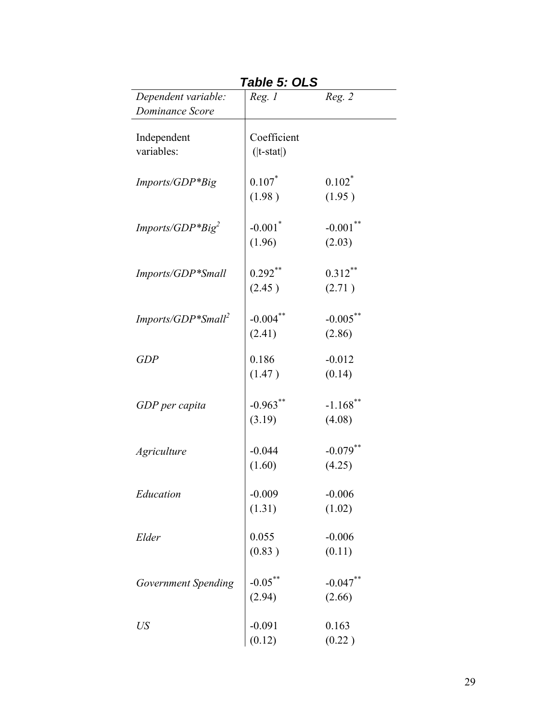|                                | Table J. ULS                    |                                  |
|--------------------------------|---------------------------------|----------------------------------|
| Dependent variable:            | Reg. 1                          | Reg. 2                           |
| Dominance Score                |                                 |                                  |
| Independent<br>variables:      | Coefficient<br>$( t-stat )$     |                                  |
| Imports/GDP*Big                | $0.107*$<br>(1.98)              | $0.102$ <sup>*</sup><br>(1.95)   |
| Imports/GDP*Big <sup>2</sup>   | $-0.001$ <sup>*</sup><br>(1.96) | $-0.001$ **<br>(2.03)            |
| Imports/GDP*Small              | $0.292***$<br>(2.45)            | $0.312***$<br>(2.71)             |
| Imports/GDP*Small <sup>2</sup> | $-0.004$ **<br>(2.41)           | $-0.005$ **<br>(2.86)            |
| <b>GDP</b>                     | 0.186<br>(1.47)                 | $-0.012$<br>(0.14)               |
| GDP per capita                 | $-0.963$ **<br>(3.19)           | $-1.168$ <sup>**</sup><br>(4.08) |
| <i>Agriculture</i>             | $-0.044$<br>(1.60)              | $-0.079**$<br>(4.25)             |
| Education                      | $-0.009$<br>(1.31)              | $-0.006$<br>(1.02)               |
| Elder                          | 0.055<br>(0.83)                 | $-0.006$<br>(0.11)               |
| Government Spending            | $-0.05$ <sup>**</sup><br>(2.94) | $-0.047$ **<br>(2.66)            |
| US                             | $-0.091$<br>(0.12)              | 0.163<br>(0.22)                  |

*Table 5: OLS*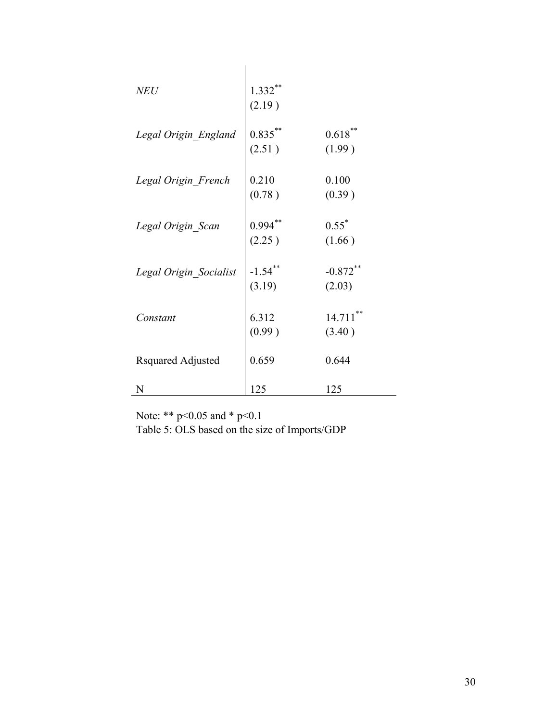| <b>NEU</b>               | $1.332**$<br>(2.19)  |                       |
|--------------------------|----------------------|-----------------------|
| Legal Origin England     | $0.835***$<br>(2.51) | $0.618***$<br>(1.99)  |
| Legal Origin French      | 0.210<br>(0.78)      | 0.100<br>(0.39)       |
| Legal Origin Scan        | $0.994***$<br>(2.25) | $0.55^*$<br>(1.66)    |
| Legal Origin Socialist   | $-1.54$ **<br>(3.19) | $-0.872$ **<br>(2.03) |
| Constant                 | 6.312<br>(0.99)      | $14.711$ **<br>(3.40) |
| <b>Rsquared Adjusted</b> | 0.659                | 0.644                 |
| N                        | 125                  | 125                   |

Note: \*\*  $p<0.05$  and \*  $p<0.1$ 

Table 5: OLS based on the size of Imports/GDP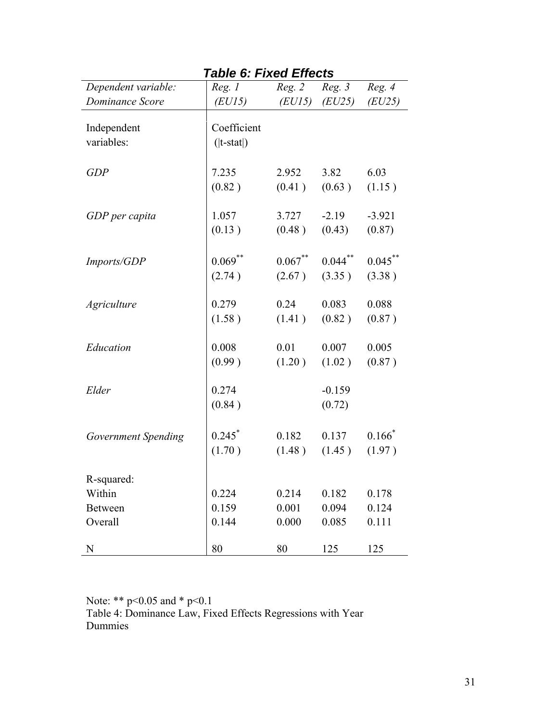| Dependent variable: | Table 6: Fixed Effects<br>Reg. 1 | Reg. 2     | Reg. 3     | Reg. 4     |
|---------------------|----------------------------------|------------|------------|------------|
| Dominance Score     | (EUI5)                           | (EUI5)     | (EU25)     | (EU25)     |
| Independent         | Coefficient                      |            |            |            |
| variables:          | $( t-stat )$                     |            |            |            |
|                     |                                  |            |            |            |
| <b>GDP</b>          | 7.235                            | 2.952      | 3.82       | 6.03       |
|                     | (0.82)                           | (0.41)     | (0.63)     | (1.15)     |
| GDP per capita      | 1.057                            | 3.727      | $-2.19$    | $-3.921$   |
|                     | (0.13)                           | (0.48)     | (0.43)     | (0.87)     |
|                     |                                  | $0.067$ ** | $0.044***$ | $0.045***$ |
| <i>Imports/GDP</i>  | $0.069$ **                       |            |            |            |
|                     | (2.74)                           | (2.67)     | (3.35)     | (3.38)     |
| <i>Agriculture</i>  | 0.279                            | 0.24       | 0.083      | 0.088      |
|                     | (1.58)                           | (1.41)     | (0.82)     | (0.87)     |
| Education           | 0.008                            | 0.01       | 0.007      | 0.005      |
|                     | (0.99)                           | (1.20)     | (1.02)     | (0.87)     |
| Elder               | 0.274                            |            | $-0.159$   |            |
|                     | (0.84)                           |            | (0.72)     |            |
| Government Spending | $0.245^*$                        | 0.182      | 0.137      | $0.166^*$  |
|                     | (1.70)                           | (1.48)     | (1.45)     | (1.97)     |
| R-squared:          |                                  |            |            |            |
| Within              | 0.224                            | 0.214      | 0.182      | 0.178      |
| <b>Between</b>      | 0.159                            | 0.001      | 0.094      | 0.124      |
| Overall             | 0.144                            | 0.000      | 0.085      | 0.111      |
| N                   | 80                               | 80         | 125        | 125        |

Note: \*\*  $p<0.05$  and \*  $p<0.1$ Table 4: Dominance Law, Fixed Effects Regressions with Year Dummies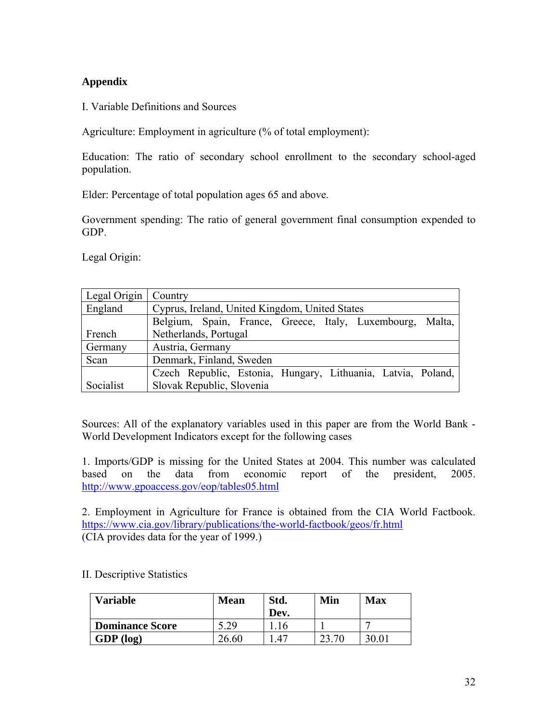### **Appendix**

I. Variable Definitions and Sources

Agriculture: Employment in agriculture (% of total employment):

Education: The ratio of secondary school enrollment to the secondary school-aged population.

Elder: Percentage of total population ages 65 and above.

Government spending: The ratio of general government final consumption expended to GDP.

Legal Origin:

| Legal Origin | Country                                                      |
|--------------|--------------------------------------------------------------|
| England      | Cyprus, Ireland, United Kingdom, United States               |
|              | Belgium, Spain, France, Greece, Italy, Luxembourg, Malta,    |
| French       | Netherlands, Portugal                                        |
| Germany      | Austria, Germany                                             |
| Scan         | Denmark, Finland, Sweden                                     |
|              | Czech Republic, Estonia, Hungary, Lithuania, Latvia, Poland, |
| Socialist    | Slovak Republic, Slovenia                                    |

Sources: All of the explanatory variables used in this paper are from the World Bank - World Development Indicators except for the following cases

1. Imports/GDP is missing for the United States at 2004. This number was calculated based on the data from economic report of the president, 2005. http://www.gpoaccess.gov/eop/tables05.html

2. Employment in Agriculture for France is obtained from the CIA World Factbook. https://www.cia.gov/library/publications/the-world-factbook/geos/fr.html (CIA provides data for the year of 1999.)

| <b>Variable</b>        | <b>Mean</b> | Std.<br>Dev. | Min   | <b>Max</b> |
|------------------------|-------------|--------------|-------|------------|
| <b>Dominance Score</b> | 5.29        |              |       |            |
| GDP(log)               | 26.60       | $4^{\circ}$  | 23.70 | 30.Oi      |

### II. Descriptive Statistics